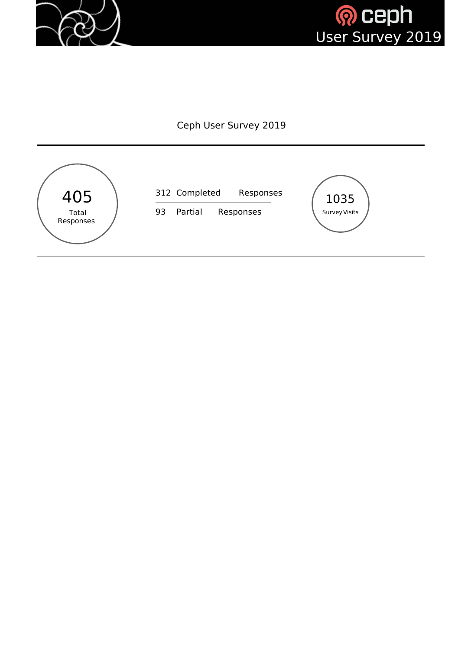



#### Ceph User Survey 2019

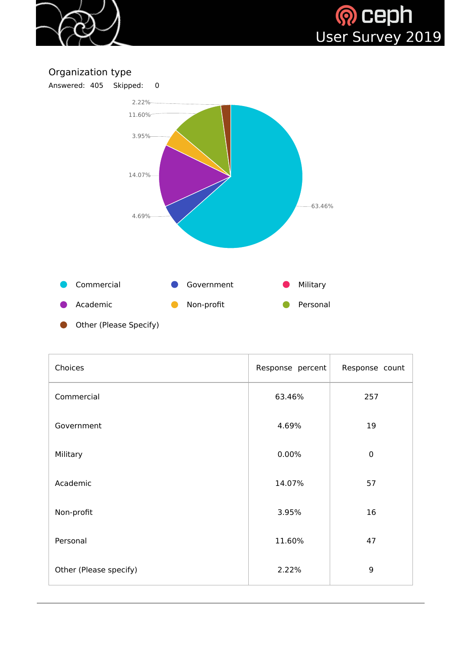



### Organization type



| Choices                | Response percent | Response count |
|------------------------|------------------|----------------|
| Commercial             | 63.46%           | 257            |
| Government             | 4.69%            | 19             |
| Military               | 0.00%            | $\mathbf 0$    |
| Academic               | 14.07%           | 57             |
| Non-profit             | 3.95%            | 16             |
| Personal               | 11.60%           | 47             |
| Other (Please specify) | 2.22%            | 9              |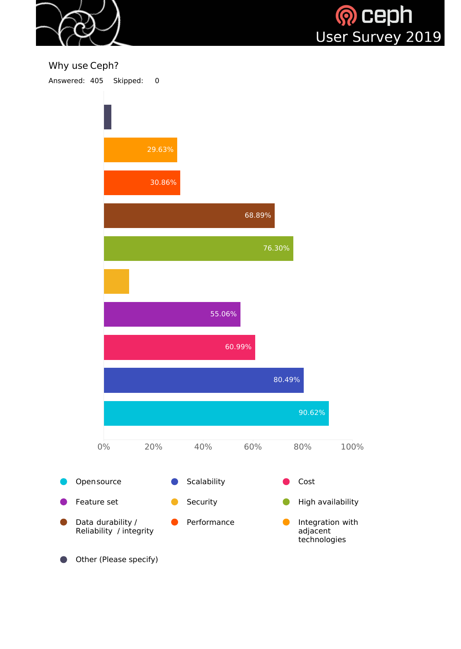



#### Why use Ceph?

Answered: 405 Skipped: 0

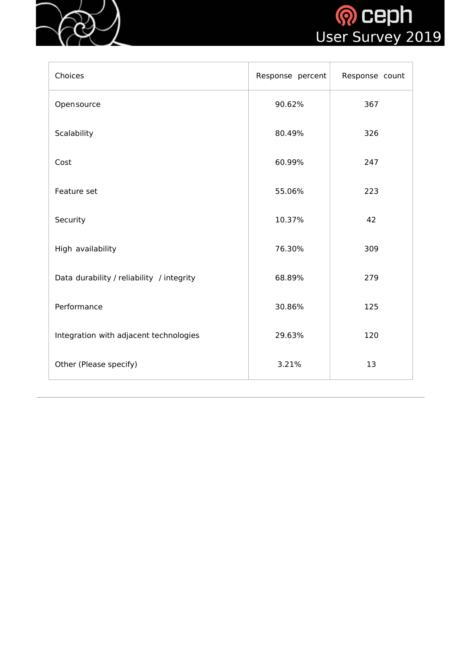



| Choices                                   | Response percent | Response count |
|-------------------------------------------|------------------|----------------|
| Opensource                                | 90.62%           | 367            |
| Scalability                               | 80.49%           | 326            |
| Cost                                      | 60.99%           | 247            |
| Feature set                               | 55.06%           | 223            |
| Security                                  | 10.37%           | 42             |
| High availability                         | 76.30%           | 309            |
| Data durability / reliability / integrity | 68.89%           | 279            |
| Performance                               | 30.86%           | 125            |
| Integration with adjacent technologies    | 29.63%           | 120            |
| Other (Please specify)                    | 3.21%            | 13             |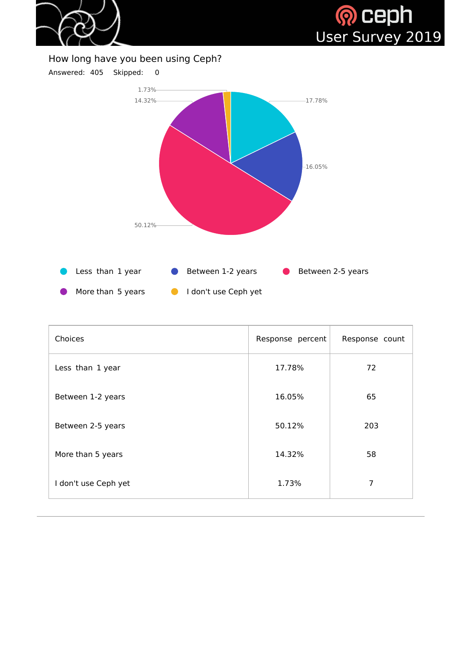



#### How long have you been using Ceph?



| <b>Choices</b>       | Response percent | Response count |
|----------------------|------------------|----------------|
| Less than 1 year     | 17.78%           | 72             |
| Between 1-2 years    | 16.05%           | 65             |
| Between 2-5 years    | 50.12%           | 203            |
| More than 5 years    | 14.32%           | 58             |
| I don't use Ceph yet | 1.73%            | 7              |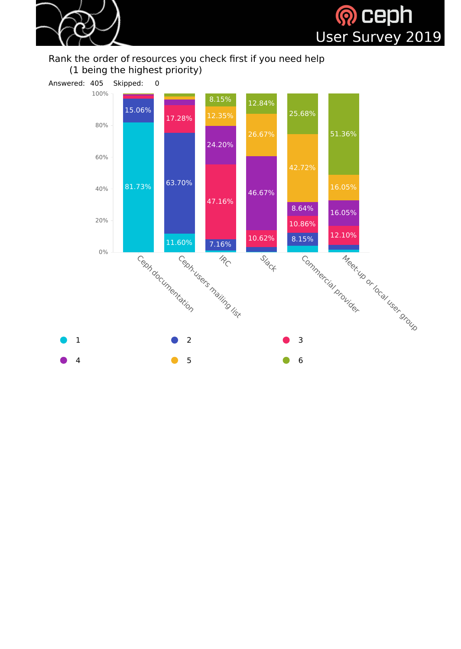



#### Rank the order of resources you check first if you need help (1 being the highest priority)

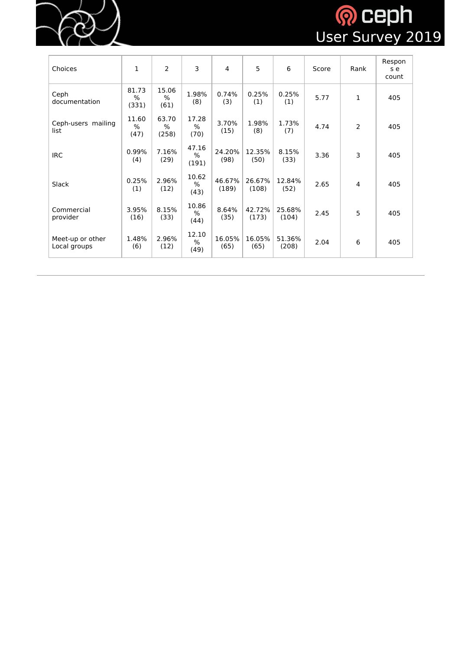

# **OCEPH**<br>User Survey 2019

| Choices                          | 1                               | $\overline{2}$         | 3                      | $\overline{4}$  | 5               | 6               | Score | Rank           | Respon<br>s e<br>count |
|----------------------------------|---------------------------------|------------------------|------------------------|-----------------|-----------------|-----------------|-------|----------------|------------------------|
| Ceph<br>documentation            | 81.73<br>$\frac{0}{0}$<br>(331) | 15.06<br>%<br>(61)     | 1.98%<br>(8)           | 0.74%<br>(3)    | 0.25%<br>(1)    | 0.25%<br>(1)    | 5.77  | 1              | 405                    |
| Ceph-users mailing<br>list       | 11.60<br>$\frac{0}{0}$<br>(47)  | 63.70<br>$\%$<br>(258) | 17.28<br>$\%$<br>(70)  | 3.70%<br>(15)   | 1.98%<br>(8)    | 1.73%<br>(7)    | 4.74  | $\overline{2}$ | 405                    |
| <b>IRC</b>                       | 0.99%<br>(4)                    | 7.16%<br>(29)          | 47.16<br>$\%$<br>(191) | 24.20%<br>(98)  | 12.35%<br>(50)  | 8.15%<br>(33)   | 3.36  | 3              | 405                    |
| <b>Slack</b>                     | 0.25%<br>(1)                    | 2.96%<br>(12)          | 10.62<br>$\%$<br>(43)  | 46.67%<br>(189) | 26.67%<br>(108) | 12.84%<br>(52)  | 2.65  | $\overline{4}$ | 405                    |
| Commercial<br>provider           | 3.95%<br>(16)                   | 8.15%<br>(33)          | 10.86<br>$\%$<br>(44)  | 8.64%<br>(35)   | 42.72%<br>(173) | 25.68%<br>(104) | 2.45  | 5              | 405                    |
| Meet-up or other<br>Local groups | 1.48%<br>(6)                    | 2.96%<br>(12)          | 12.10<br>%<br>(49)     | 16.05%<br>(65)  | 16.05%<br>(65)  | 51.36%<br>(208) | 2.04  | 6              | 405                    |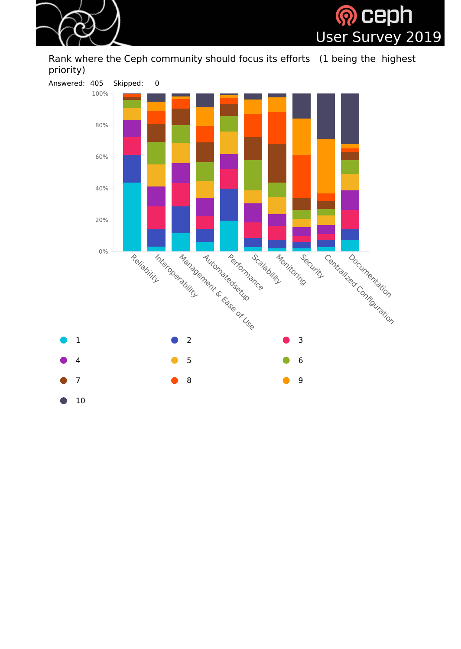



Rank where the Ceph community should focus its efforts (1 being the highest priority)

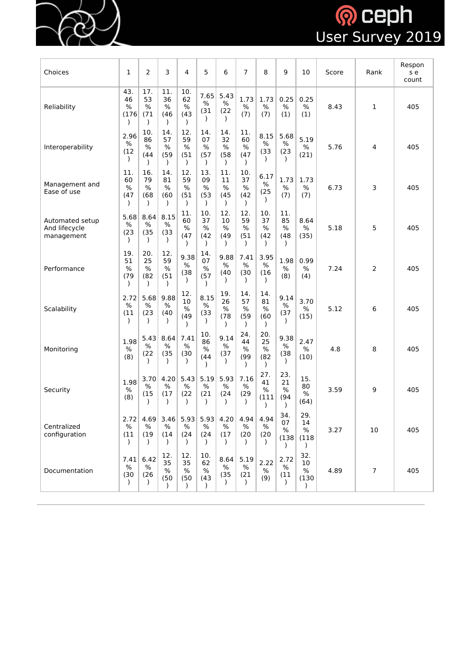

# **OCEPH**<br>User Survey 2019

| Choices                                        | $\mathbf 1$                         | $\overline{2}$                     | 3                         | 4                                  | 5                                  | 6                                      | $\overline{7}$                     | 8                                  | 9                          | 10                         | Score | Rank           | Respon<br>s e<br>count |
|------------------------------------------------|-------------------------------------|------------------------------------|---------------------------|------------------------------------|------------------------------------|----------------------------------------|------------------------------------|------------------------------------|----------------------------|----------------------------|-------|----------------|------------------------|
| Reliability                                    | 43.<br>46<br>$\frac{0}{0}$<br>(176) | 17.<br>53<br>$\%$<br>(71)          | 11.<br>36<br>$\%$<br>(46) | 10.<br>62<br>$\%$<br>(43)          | 7.65<br>$\%$<br>(31)               | 5.43<br>$\%$<br>(22)                   | 1.73<br>$\%$<br>(7)                | 1.73<br>$\frac{0}{0}$<br>(7)       | 0.25<br>$\%$<br>(1)        | 0.25<br>$\%$<br>(1)        | 8.43  | $\mathbf{1}$   | 405                    |
| Interoperability                               | 2.96<br>$\%$<br>(12)                | 10.<br>86<br>$\frac{0}{0}$<br>(44) | 14.<br>57<br>$\%$<br>(59) | 12.<br>59<br>$\%$<br>(51)          | 14.<br>07<br>%<br>(57)             | 14.<br>32<br>$\%$<br>(58)<br>$\lambda$ | 11.<br>60<br>$\%$<br>(47)          | 8.15<br>$\%$<br>(33)               | 5.68<br>$\%$<br>(23)       | 5.19<br>$\%$<br>(21)       | 5.76  | 4              | 405                    |
| Management and<br>Ease of use                  | 11.<br>60<br>$\%$<br>(47)           | 16.<br>79<br>$\%$<br>(68)          | 14.<br>81<br>$\%$<br>(60) | 12.<br>59<br>$\frac{0}{0}$<br>(51) | 13.<br>09<br>$\frac{0}{0}$<br>(53) | 11.<br>11<br>$\%$<br>(45)<br>$\lambda$ | 10.<br>37<br>$\frac{0}{0}$<br>(42) | 6.17<br>$\%$<br>(25)               | 1.73<br>$\%$<br>(7)        | 1.73<br>$\%$<br>(7)        | 6.73  | 3              | 405                    |
| Automated setup<br>And lifecycle<br>management | 5.68<br>$\frac{0}{0}$<br>(23)       | 8.64<br>$\%$<br>(35)               | 8.15<br>$\%$<br>(33)      | 11.<br>60<br>$\%$<br>(47)          | 10.<br>37<br>$\frac{0}{0}$<br>(42) | 12.<br>10<br>$\frac{0}{0}$<br>(49)     | 12.<br>59<br>$\frac{0}{0}$<br>(51) | 10.<br>37<br>$\frac{0}{0}$<br>(42) | 11.<br>85<br>$\%$<br>(48)  | 8.64<br>$\%$<br>(35)       | 5.18  | 5              | 405                    |
| Performance                                    | 19.<br>51<br>%<br>(79)              | 20.<br>25<br>$\%$<br>(82)          | 12.<br>59<br>$\%$<br>(51) | 9.38<br>$\%$<br>(38)               | 14.<br>07<br>$\%$<br>(57)          | 9.88<br>%<br>(40)                      | 7.41<br>$\%$<br>(30)               | 3.95<br>%<br>(16)                  | 1.98<br>$\%$<br>(8)        | 0.99<br>$\%$<br>(4)        | 7.24  | $\overline{2}$ | 405                    |
| Scalability                                    | 2.72<br>%<br>(11)                   | 5.68<br>$\%$<br>(23)               | 9.88<br>$\%$<br>(40)      | 12.<br>$10\,$<br>$\%$<br>(49)      | 8.15<br>$\%$<br>(33)               | 19.<br>26<br>%<br>(78)                 | 14.<br>57<br>%<br>(59)             | 14.<br>81<br>%<br>(60)             | 9.14<br>$\%$<br>(37)       | 3.70<br>$\%$<br>(15)       | 5.12  | 6              | 405                    |
| Monitoring                                     | 1.98<br>$\%$<br>(8)                 | 5.43<br>$\%$<br>(22)               | 8.64<br>$\%$<br>(35)      | 7.41<br>$\%$<br>(30)               | 10.<br>86<br>$\%$<br>(44)          | 9.14<br>$\%$<br>(37)                   | 24.<br>44<br>$\%$<br>(99)          | 20.<br>25<br>$\%$<br>(82)          | 9.38<br>$\%$<br>(38)       | 2.47<br>$\%$<br>(10)       | 4.8   | 8              | 405                    |
| Security                                       | 1.98<br>$\frac{0}{0}$<br>(8)        | 3.70<br>$\%$<br>(15)               | 4.20<br>$\%$<br>(17)      | 5.43<br>$\%$<br>(22)               | 5.19<br>%<br>(21)                  | 5.93<br>$\%$<br>(24)                   | 7.16<br>$\%$<br>(29)               | 27.<br>41<br>$\%$<br>(111)         | 23.<br>21<br>$\%$<br>(94)  | 15.<br>80<br>$\%$<br>(64)  | 3.59  | 9              | 405                    |
| Centralized<br>configuration                   | 2.72<br>$\%$<br>(11)<br>$\lambda$   | 4.69<br>%<br>(19)<br>$\lambda$     | 3.46<br>%<br>(14)         | 5.93<br>$\%$<br>(24)               | 5.93<br>$\%$<br>(24)               | 4.20<br>$\%$<br>(17)<br>$\lambda$      | 4.94<br>%<br>(20)                  | 4.94<br>$\%$<br>(20)               | 34.<br>07<br>$\%$<br>(138) | 29.<br>14<br>$\%$<br>(118) | 3.27  | 10             | 405                    |
| Documentation                                  | 7.41<br>$\frac{0}{0}$<br>(30)       | 6.42<br>$\%$<br>(26)               | 12.<br>35<br>$\%$<br>(50) | 12.<br>35<br>$\%$<br>(50)          | 10.<br>62<br>$\%$<br>(43)          | 8.64<br>%<br>(35)                      | 5.19<br>$\%$<br>(21)               | 2.22<br>$\%$<br>(9)                | 2.72<br>$\%$<br>(11)       | 32.<br>10<br>$\%$<br>(130) | 4.89  | $\overline{7}$ | 405                    |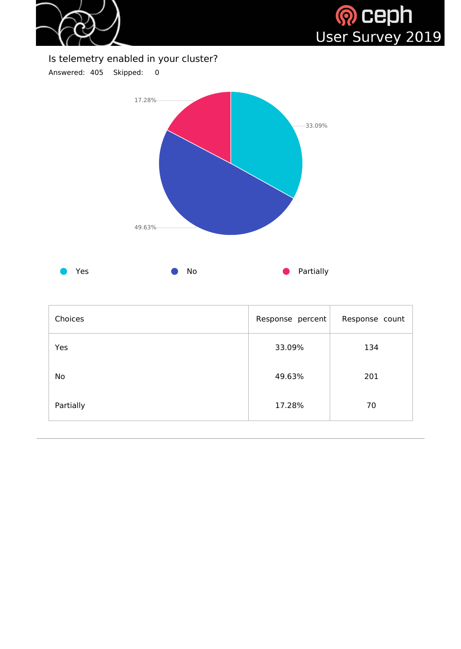



#### Is telemetry enabled in your cluster?

Answered: 405 Skipped: 0



| Choices   | Response percent | Response count |
|-----------|------------------|----------------|
| Yes       | 33.09%           | 134            |
| <b>No</b> | 49.63%           | 201            |
| Partially | 17.28%           | 70             |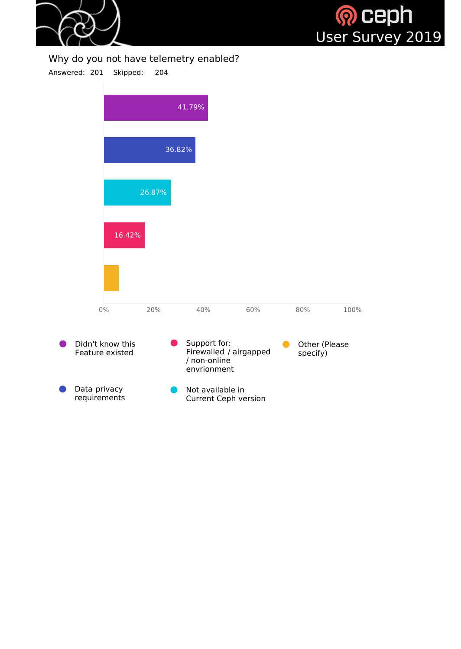



#### Why do you not have telemetry enabled?

Answered: 201 Skipped: 204



Not available in Current Ceph version Data privacy requirements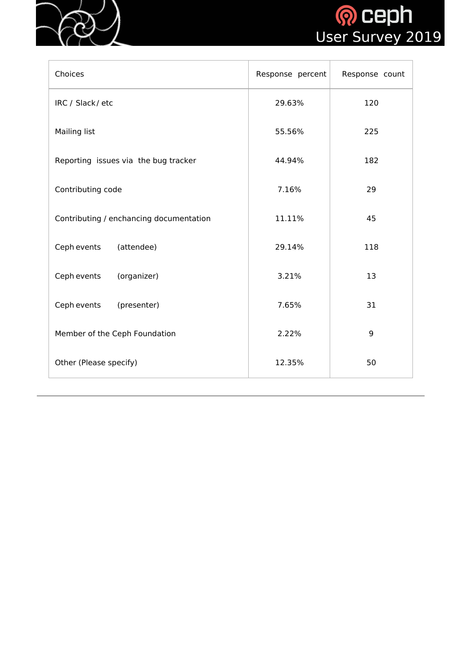



| Choices                                 | Response percent | Response count |
|-----------------------------------------|------------------|----------------|
| IRC / Slack/etc                         | 29.63%           | 120            |
| <b>Mailing list</b>                     | 55.56%           | 225            |
| Reporting issues via the bug tracker    | 44.94%           | 182            |
| Contributing code                       | 7.16%            | 29             |
| Contributing / enchancing documentation | 11.11%           | 45             |
| Ceph events<br>(attendee)               | 29.14%           | 118            |
| (organizer)<br>Ceph events              | 3.21%            | 13             |
| Ceph events<br>(presenter)              | 7.65%            | 31             |
| Member of the Ceph Foundation           | 2.22%            | 9              |
| Other (Please specify)                  | 12.35%           | 50             |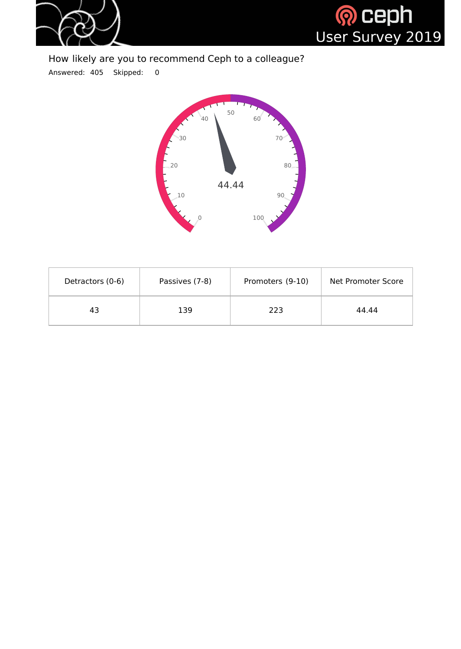



### How likely are you to recommend Ceph to a colleague?

Answered: 405 Skipped: 0



| Detractors (0-6) | Passives (7-8) | Promoters (9-10) | Net Promoter Score |
|------------------|----------------|------------------|--------------------|
| 43               | 139            | 223              | 44.44              |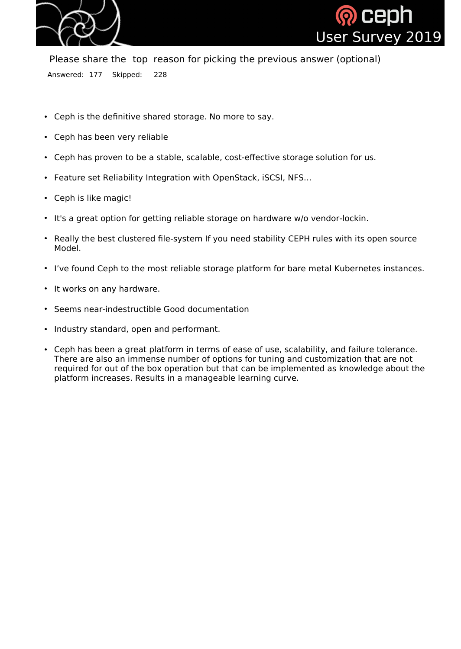



Please share the top reason for picking the previous answer (optional) Answered: 177 Skipped: 228

- Ceph is the definitive shared storage. No more to say.
- Ceph has been very reliable
- Ceph has proven to be a stable, scalable, cost-effective storage solution for us.
- Feature set Reliability Integration with OpenStack, iSCSI, NFS...
- Ceph is like magic!
- It's a great option for getting reliable storage on hardware w/o vendor-lockin.
- Really the best clustered file-system If you need stability CEPH rules with its open source Model.
- I've found Ceph to the most reliable storage platform for bare metal Kubernetes instances.
- It works on any hardware.
- Seems near-indestructible Good documentation
- Industry standard, open and performant.
- Ceph has been a great platform in terms of ease of use, scalability, and failure tolerance. There are also an immense number of options for tuning and customization that are not required for out of the box operation but that can be implemented as knowledge about the platform increases. Results in a manageable learning curve.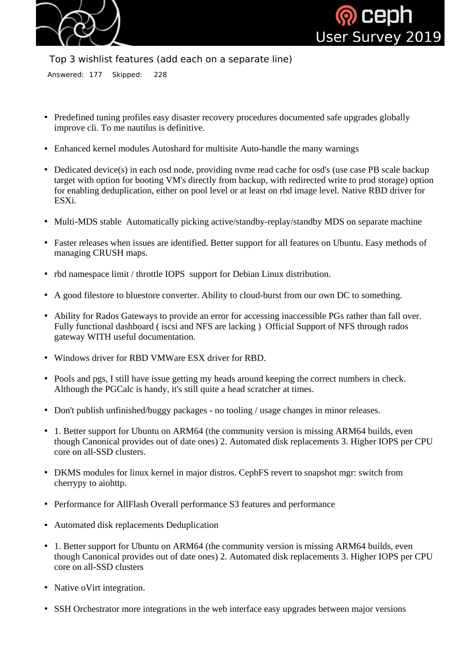



Top 3 wishlist features (add each on a separate line)

Answered: 177 Skipped: 228

- Predefined tuning profiles easy disaster recovery procedures documented safe upgrades globally improve cli. To me nautilus is definitive.
- Enhanced kernel modules Autoshard for multisite Auto-handle the many warnings
- Dedicated device(s) in each osd node, providing nyme read cache for osd's (use case PB scale backup target with option for booting VM's directly from backup, with redirected write to prod storage) option for enabling deduplication, either on pool level or at least on rbd image level. Native RBD driver for ESXi.
- Multi-MDS stable Automatically picking active/standby-replay/standby MDS on separate machine
- Faster releases when issues are identified. Better support for all features on Ubuntu. Easy methods of managing CRUSH maps.
- rbd namespace limit / throttle IOPS support for Debian Linux distribution.
- A good filestore to bluestore converter. Ability to cloud-burst from our own DC to something.
- Ability for Rados Gateways to provide an error for accessing inaccessible PGs rather than fall over. Fully functional dashboard ( iscsi and NFS are lacking ) Official Support of NFS through rados gateway WITH useful documentation.
- Windows driver for RBD VMWare ESX driver for RBD.
- Pools and pgs, I still have issue getting my heads around keeping the correct numbers in check. Although the PGCalc is handy, it's still quite a head scratcher at times.
- Don't publish unfinished/buggy packages no tooling / usage changes in minor releases.
- 1. Better support for Ubuntu on ARM64 (the community version is missing ARM64 builds, even though Canonical provides out of date ones) 2. Automated disk replacements 3. Higher IOPS per CPU core on all-SSD clusters.
- DKMS modules for linux kernel in major distros. CephFS revert to snapshot mgr: switch from cherrypy to aiohttp.
- Performance for AllFlash Overall performance S3 features and performance
- Automated disk replacements Deduplication
- 1. Better support for Ubuntu on ARM64 (the community version is missing ARM64 builds, even though Canonical provides out of date ones) 2. Automated disk replacements 3. Higher IOPS per CPU core on all-SSD clusters
- Native oVirt integration.
- SSH Orchestrator more integrations in the web interface easy upgrades between major versions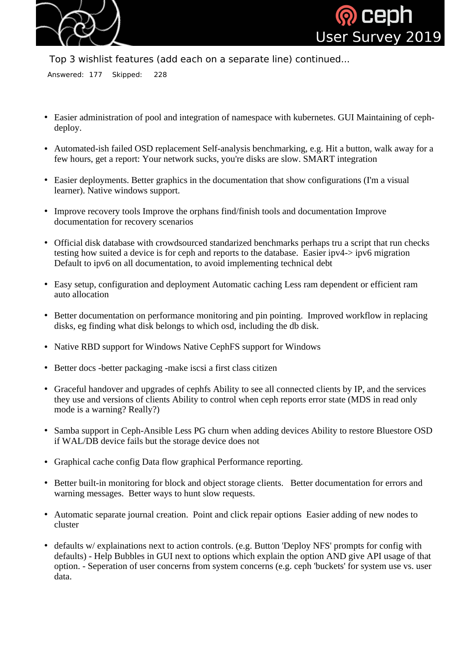



Top 3 wishlist features (add each on a separate line) continued...

Answered: 177 Skipped: 228

- Easier administration of pool and integration of namespace with kubernetes. GUI Maintaining of cephdeploy.
- Automated-ish failed OSD replacement Self-analysis benchmarking, e.g. Hit a button, walk away for a few hours, get a report: Your network sucks, you're disks are slow. SMART integration
- Easier deployments. Better graphics in the documentation that show configurations (I'm a visual learner). Native windows support.
- Improve recovery tools Improve the orphans find/finish tools and documentation Improve documentation for recovery scenarios
- Official disk database with crowdsourced standarized benchmarks perhaps tru a script that run checks testing how suited a device is for ceph and reports to the database. Easier ipv4-> ipv6 migration Default to ipv6 on all documentation, to avoid implementing technical debt
- Easy setup, configuration and deployment Automatic caching Less ram dependent or efficient ram auto allocation
- Better documentation on performance monitoring and pin pointing. Improved workflow in replacing disks, eg finding what disk belongs to which osd, including the db disk.
- Native RBD support for Windows Native CephFS support for Windows
- Better docs -better packaging -make iscsi a first class citizen
- Graceful handover and upgrades of cephfs Ability to see all connected clients by IP, and the services they use and versions of clients Ability to control when ceph reports error state (MDS in read only mode is a warning? Really?)
- Samba support in Ceph-Ansible Less PG churn when adding devices Ability to restore Bluestore OSD if WAL/DB device fails but the storage device does not
- Graphical cache config Data flow graphical Performance reporting.
- Better built-in monitoring for block and object storage clients. Better documentation for errors and warning messages. Better ways to hunt slow requests.
- Automatic separate journal creation. Point and click repair options Easier adding of new nodes to cluster
- defaults w/ explainations next to action controls. (e.g. Button 'Deploy NFS' prompts for config with defaults) - Help Bubbles in GUI next to options which explain the option AND give API usage of that option. - Seperation of user concerns from system concerns (e.g. ceph 'buckets' for system use vs. user data.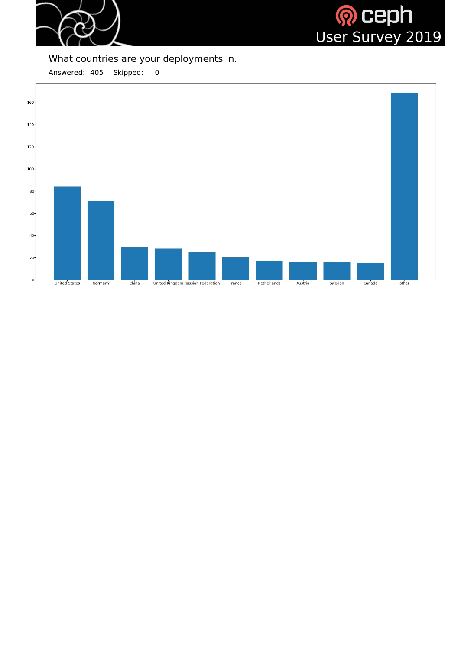



### What countries are your deployments in.

Answered: 405 Skipped: 0

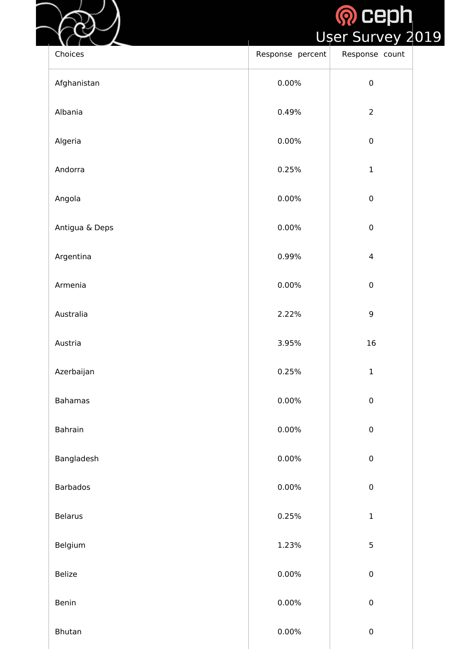# <mark>ନ Ceph</mark><br>User Survey 2019

| Choices         | Response percent | ш<br>$\tilde{\phantom{a}}$<br>$\overline{\phantom{0}}$<br>D.<br>Response count |
|-----------------|------------------|--------------------------------------------------------------------------------|
| Afghanistan     | 0.00%            | $\pmb{0}$                                                                      |
| Albania         | 0.49%            | $\overline{2}$                                                                 |
| Algeria         | 0.00%            | $\pmb{0}$                                                                      |
| Andorra         | 0.25%            | $\mathbf 1$                                                                    |
| Angola          | 0.00%            | ${\bf 0}$                                                                      |
| Antigua & Deps  | 0.00%            | $\pmb{0}$                                                                      |
| Argentina       | 0.99%            | $\overline{4}$                                                                 |
| Armenia         | 0.00%            | $\pmb{0}$                                                                      |
| Australia       | 2.22%            | $\overline{9}$                                                                 |
| Austria         | 3.95%            | 16                                                                             |
| Azerbaijan      | 0.25%            | $\mathbf 1$                                                                    |
| <b>Bahamas</b>  | $0.00\%$         | $\mathbf 0$                                                                    |
| <b>Bahrain</b>  | 0.00%            | $\pmb{0}$                                                                      |
| Bangladesh      | 0.00%            | $\pmb{0}$                                                                      |
| <b>Barbados</b> | 0.00%            | $\mathbf 0$                                                                    |
| <b>Belarus</b>  | 0.25%            | $\mathbf 1$                                                                    |
| Belgium         | 1.23%            | 5                                                                              |
| <b>Belize</b>   | 0.00%            | ${\bf 0}$                                                                      |
| Benin           | 0.00%            | $\pmb{0}$                                                                      |
| <b>Bhutan</b>   | $0.00\%$         | $\pmb{0}$                                                                      |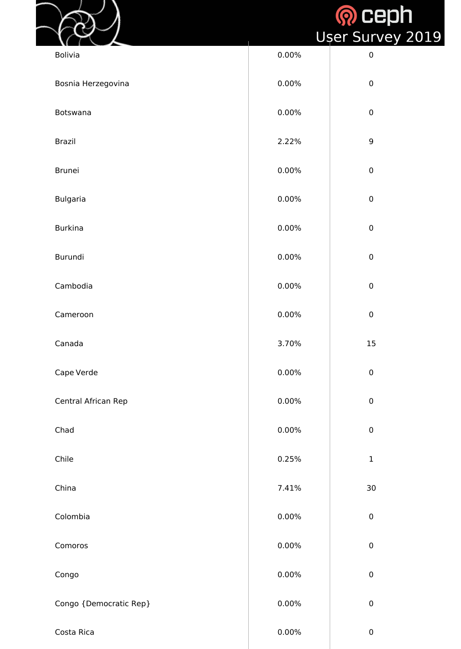|                        |          | <b>Q</b> ceph<br>User Survey 2019 |
|------------------------|----------|-----------------------------------|
| <b>Bolivia</b>         | 0.00%    | $\pmb{0}$                         |
| Bosnia Herzegovina     | 0.00%    | $\mathbf 0$                       |
| <b>Botswana</b>        | 0.00%    | $\mathbf 0$                       |
| <b>Brazil</b>          | 2.22%    | $\overline{9}$                    |
| <b>Brunei</b>          | 0.00%    | $\pmb{0}$                         |
| <b>Bulgaria</b>        | 0.00%    | $\pmb{0}$                         |
| <b>Burkina</b>         | 0.00%    | $\mathbf 0$                       |
| Burundi                | $0.00\%$ | ${\bf 0}$                         |
| Cambodia               | $0.00\%$ | $\pmb{0}$                         |
| Cameroon               | $0.00\%$ | $\pmb{0}$                         |
| Canada                 | 3.70%    | 15                                |
| Cape Verde             | $0.00\%$ | $\pmb{0}$                         |
| Central African Rep    | $0.00\%$ | $\pmb{0}$                         |
| Chad                   | $0.00\%$ | $\pmb{0}$                         |
| Chile                  | 0.25%    | $\mathbf 1$                       |
| China                  | 7.41%    | 30                                |
| Colombia               | $0.00\%$ | ${\bf 0}$                         |
| Comoros                | $0.00\%$ | ${\bf 0}$                         |
| Congo                  | $0.00\%$ | $\pmb{0}$                         |
| Congo {Democratic Rep} | 0.00%    | $\pmb{0}$                         |
| Costa Rica             | $0.00\%$ | $\pmb{0}$                         |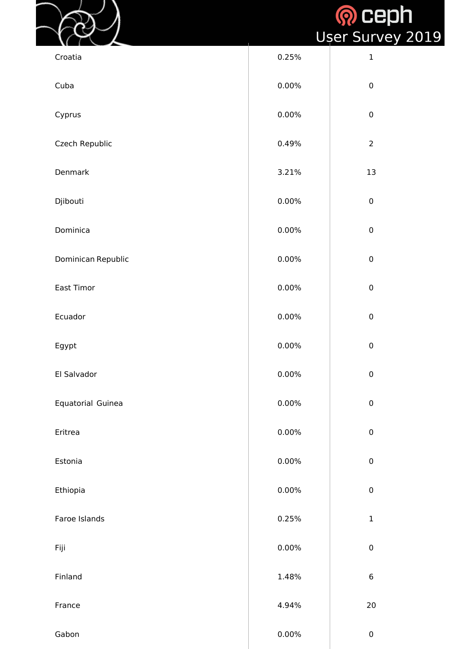|                    |          | <b>Q</b> ceph<br>Ușer Survey 2019 |
|--------------------|----------|-----------------------------------|
| Croatia            | 0.25%    | $\mathbf 1$                       |
| Cuba               | 0.00%    | $\pmb{0}$                         |
| Cyprus             | $0.00\%$ | $\pmb{0}$                         |
| Czech Republic     | 0.49%    | $\overline{2}$                    |
| Denmark            | 3.21%    | 13                                |
| Djibouti           | $0.00\%$ | $\mathbf 0$                       |
| Dominica           | 0.00%    | $\pmb{0}$                         |
| Dominican Republic | 0.00%    | $\mathbf 0$                       |
| <b>East Timor</b>  | $0.00\%$ | $\pmb{0}$                         |
| Ecuador            | $0.00\%$ | $\pmb{0}$                         |
| Egypt              | $0.00\%$ | $\pmb{0}$                         |
| El Salvador        | $0.00\%$ | $\pmb{0}$                         |
| Equatorial Guinea  | $0.00\%$ | $\boldsymbol{0}$                  |
| Eritrea            | $0.00\%$ | $\pmb{0}$                         |
| Estonia            | $0.00\%$ | $\pmb{0}$                         |
| Ethiopia           | $0.00\%$ | $\pmb{0}$                         |
| Faroe Islands      | 0.25%    | $\mathbf{1}$                      |
| Fiji               | $0.00\%$ | $\pmb{0}$                         |
| Finland            | 1.48%    | $\boldsymbol{6}$                  |
| France             | 4.94%    | 20                                |
| Gabon              | $0.00\%$ | $\pmb{0}$                         |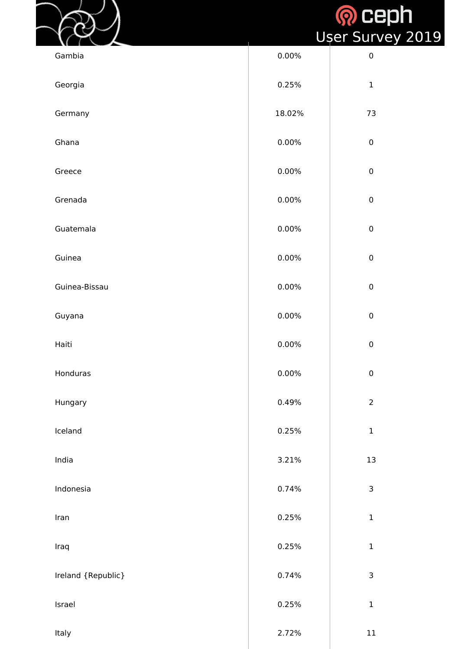# **O** Ceph<br>er Survey 2019

|                    |          | <b>SOCED</b><br>User Survey |
|--------------------|----------|-----------------------------|
| Gambia             | 0.00%    | $\pmb{0}$                   |
| Georgia            | 0.25%    | $\mathbf{1}$                |
| Germany            | 18.02%   | 73                          |
| Ghana              | 0.00%    | $\mathbf 0$                 |
| Greece             | 0.00%    | $\mathbf 0$                 |
| Grenada            | 0.00%    | $\mathbf 0$                 |
| Guatemala          | 0.00%    | $\mathbf 0$                 |
| Guinea             | 0.00%    | $\pmb{0}$                   |
| Guinea-Bissau      | 0.00%    | $\pmb{0}$                   |
| Guyana             | 0.00%    | $\mathbf 0$                 |
| Haiti              | $0.00\%$ | $\mathbf 0$                 |
| Honduras           | 0.00%    | $\pmb{0}$                   |
| Hungary            | 0.49%    | $\overline{2}$              |
| Iceland            | 0.25%    | $\mathbf{1}$                |
| India              | 3.21%    | 13                          |
| Indonesia          | 0.74%    | 3                           |
| Iran               | 0.25%    | $\mathbf 1$                 |
| Iraq               | 0.25%    | $\mathbf 1$                 |
| Ireland {Republic} | 0.74%    | $\mathsf{3}$                |
| Israel             | 0.25%    | $\mathbf 1$                 |
| Italy              | 2.72%    | 11                          |

 $\left\{ \begin{array}{c} 1 \\ 1 \end{array} \right.$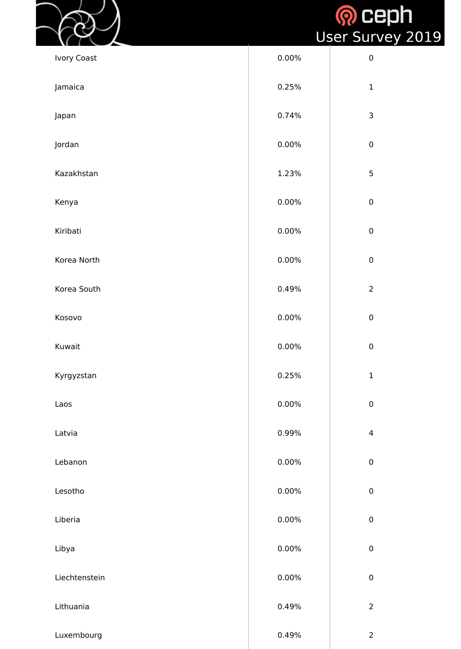|          | User Survey 2019 |
|----------|------------------|
| $0.00\%$ |                  |

|                    |       | <b>SOLTE</b><br>User Surv |
|--------------------|-------|---------------------------|
| <b>Ivory Coast</b> | 0.00% | $\pmb{0}$                 |
| Jamaica            | 0.25% | $\mathbf 1$               |
| Japan              | 0.74% | $\mathsf{3}$              |
| Jordan             | 0.00% | $\pmb{0}$                 |
| Kazakhstan         | 1.23% | 5                         |
| Kenya              | 0.00% | $\boldsymbol{0}$          |
| Kiribati           | 0.00% | $\mathbf 0$               |
| Korea North        | 0.00% | $\mathbf{0}$              |
| Korea South        | 0.49% | $\overline{2}$            |
| Kosovo             | 0.00% | $\pmb{0}$                 |
| Kuwait             | 0.00% | $\boldsymbol{0}$          |
| Kyrgyzstan         | 0.25% | $\mathbf{1}$              |
| Laos               | 0.00% | $\pmb{0}$                 |
| Latvia             | 0.99% | $\overline{4}$            |
| Lebanon            | 0.00% | $\mathbf 0$               |
| Lesotho            | 0.00% | $\boldsymbol{0}$          |
| Liberia            | 0.00% | $\mathbf{0}$              |
| Libya              | 0.00% | $\pmb{0}$                 |
| Liechtenstein      | 0.00% | $\boldsymbol{0}$          |
| Lithuania          | 0.49% | $\overline{2}$            |
| Luxembourg         | 0.49% | $\overline{2}$            |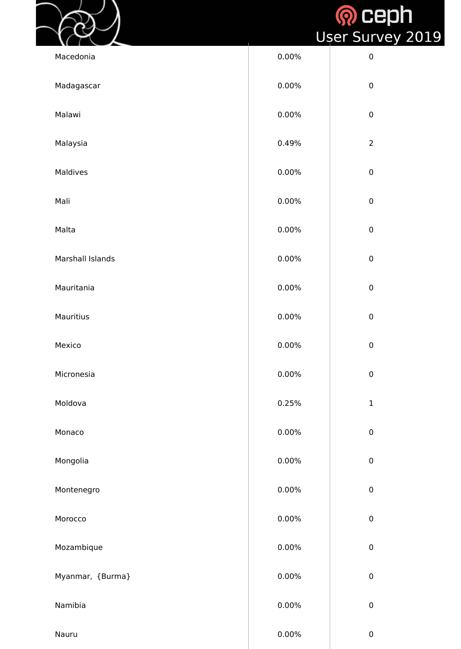|                  |          | <b>Q</b> ceph<br>Ușer Survey 2019 |
|------------------|----------|-----------------------------------|
| Macedonia        | 0.00%    | $\boldsymbol{0}$                  |
| Madagascar       | 0.00%    | $\boldsymbol{0}$                  |
| Malawi           | 0.00%    | $\mathbf 0$                       |
| Malaysia         | 0.49%    | $\overline{2}$                    |
| <b>Maldives</b>  | 0.00%    | $\boldsymbol{0}$                  |
| Mali             | 0.00%    | $\mathbf 0$                       |
| Malta            | 0.00%    | $\boldsymbol{0}$                  |
| Marshall Islands | 0.00%    | $\overline{0}$                    |
| Mauritania       | 0.00%    | $\pmb{0}$                         |
| <b>Mauritius</b> | 0.00%    | $\pmb{0}$                         |
| Mexico           | 0.00%    | $\pmb{0}$                         |
| Micronesia       | 0.00%    | $\pmb{0}$                         |
| Moldova          | 0.25%    | $\mathbf{1}$                      |
| Monaco           | 0.00%    | ${\bf 0}$                         |
| Mongolia         | 0.00%    | $\pmb{0}$                         |
| Montenegro       | 0.00%    | ${\bf 0}$                         |
| Morocco          | 0.00%    | $\mathbf{0}$                      |
| Mozambique       | 0.00%    | $\pmb{0}$                         |
| Myanmar, {Burma} | 0.00%    | ${\bf 0}$                         |
| Namibia          | 0.00%    | $\pmb{0}$                         |
| Nauru            | $0.00\%$ | $\pmb{0}$                         |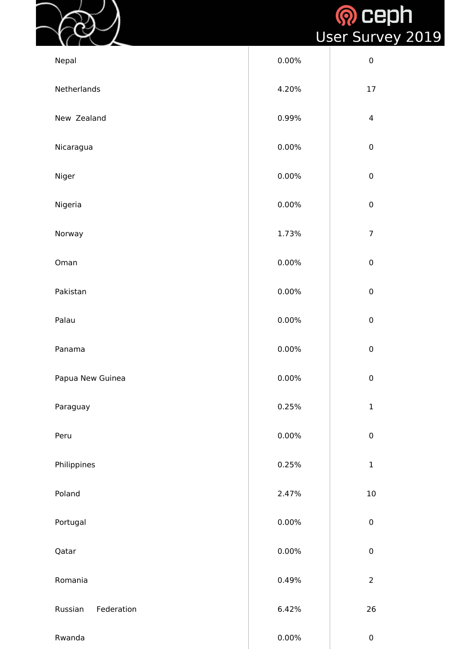

# <mark><mark>ନ</mark> Ceph<br>User Survey 2019</mark>

| Nepal                 | 0.00% | $\pmb{0}$        |
|-----------------------|-------|------------------|
| Netherlands           | 4.20% | 17               |
| New Zealand           | 0.99% | $\overline{4}$   |
| Nicaragua             | 0.00% | $\pmb{0}$        |
| Niger                 | 0.00% | $\pmb{0}$        |
| Nigeria               | 0.00% | ${\bf 0}$        |
| Norway                | 1.73% | $\overline{7}$   |
| Oman                  | 0.00% | $\pmb{0}$        |
| Pakistan              | 0.00% | $\boldsymbol{0}$ |
| Palau                 | 0.00% | $\pmb{0}$        |
| Panama                | 0.00% | $\pmb{0}$        |
| Papua New Guinea      | 0.00% | $\pmb{0}$        |
| Paraguay              | 0.25% | $\mathbf 1$      |
| Peru                  | 0.00% | ${\bf 0}$        |
| Philippines           | 0.25% | $\mathbf 1$      |
| Poland                | 2.47% | 10               |
| Portugal              | 0.00% | ${\bf 0}$        |
| Qatar                 | 0.00% | $\pmb{0}$        |
| Romania               | 0.49% | $\overline{2}$   |
| Russian<br>Federation | 6.42% | 26               |
| Rwanda                | 0.00% | $\pmb{0}$        |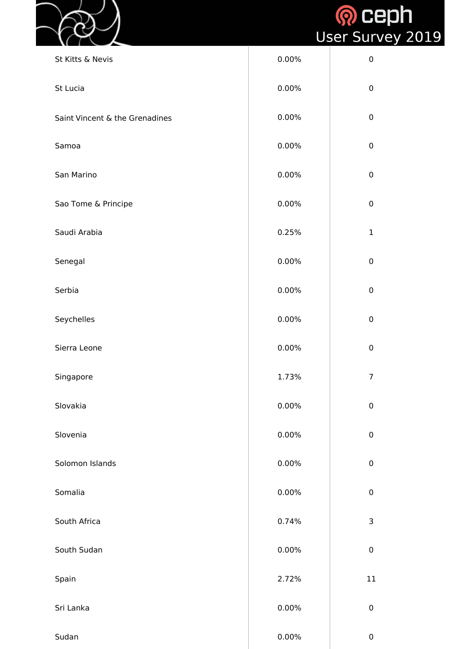



| St Kitts & Nevis               | 0.00% | $\boldsymbol{0}$ |
|--------------------------------|-------|------------------|
| St Lucia                       | 0.00% | $\mathbf 0$      |
| Saint Vincent & the Grenadines | 0.00% | $\mathbf 0$      |
| Samoa                          | 0.00% | $\mathbf 0$      |
| San Marino                     | 0.00% | $\mathbf 0$      |
| Sao Tome & Principe            | 0.00% | $\mathbf 0$      |
| Saudi Arabia                   | 0.25% | $\mathbf{1}$     |
| Senegal                        | 0.00% | $\mathbf 0$      |
| Serbia                         | 0.00% | $\mathbf 0$      |
| Seychelles                     | 0.00% | $\mathbf 0$      |
| Sierra Leone                   | 0.00% | $\mathbf 0$      |
| Singapore                      | 1.73% | $\overline{7}$   |
| Slovakia                       | 0.00% | $\mathbf 0$      |
| Slovenia                       | 0.00% | $\mathbf 0$      |
| Solomon Islands                | 0.00% | $\pmb{0}$        |
| Somalia                        | 0.00% | $\mathbf 0$      |
| South Africa                   | 0.74% | 3                |
| South Sudan                    | 0.00% | $\mathbf 0$      |
| Spain                          | 2.72% | 11               |
| Sri Lanka                      | 0.00% | $\boldsymbol{0}$ |
| Sudan                          | 0.00% | $\pmb{0}$        |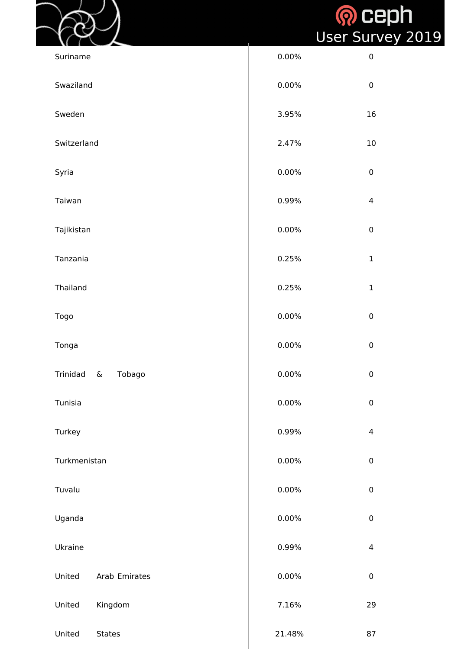| <b>Q</b> ceph           |  |
|-------------------------|--|
| <b>User Survey 2019</b> |  |

|              |                          |          | <b>SOCE</b><br>Ușer Surve |
|--------------|--------------------------|----------|---------------------------|
| Suriname     |                          | 0.00%    | $\pmb{0}$                 |
| Swaziland    |                          | 0.00%    | $\boldsymbol{0}$          |
| Sweden       |                          | 3.95%    | 16                        |
| Switzerland  |                          | 2.47%    | 10                        |
| Syria        |                          | 0.00%    | $\pmb{0}$                 |
| Taiwan       |                          | 0.99%    | $\overline{4}$            |
| Tajikistan   |                          | 0.00%    | $\pmb{0}$                 |
| Tanzania     |                          | 0.25%    | $\mathbf{1}$              |
| Thailand     |                          | 0.25%    | $\mathbf{1}$              |
| <b>Togo</b>  |                          | 0.00%    | $\pmb{0}$                 |
| Tonga        |                          | $0.00\%$ | $\pmb{0}$                 |
| Trinidad     | Tobago<br>$\pmb{\delta}$ | $0.00\%$ | $\pmb{0}$                 |
| Tunisia      |                          | $0.00\%$ | $\pmb{0}$                 |
| Turkey       |                          | 0.99%    | $\overline{4}$            |
| Turkmenistan |                          | 0.00%    | $\pmb{0}$                 |
| Tuvalu       |                          | 0.00%    | $\pmb{0}$                 |
| Uganda       |                          | $0.00\%$ | $\mathbf{0}$              |
| Ukraine      |                          | 0.99%    | $\overline{4}$            |
| United       | Arab Emirates            | 0.00%    | $\pmb{0}$                 |
| United       | Kingdom                  | 7.16%    | 29                        |
| United       | <b>States</b>            | 21.48%   | 87                        |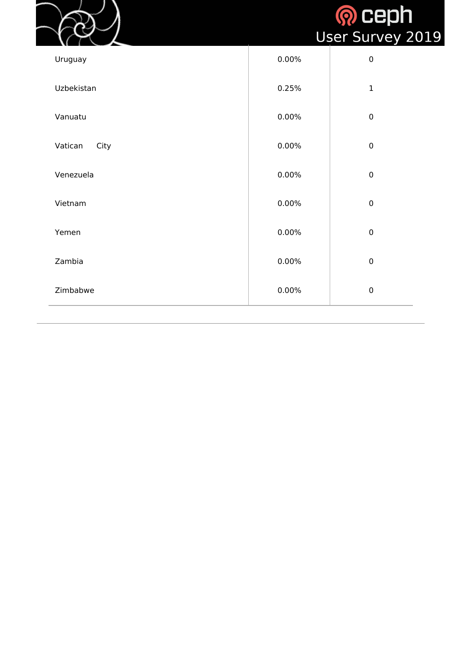|                 |       | <b>Q</b> ceph<br><b>User Survey 2019</b> |
|-----------------|-------|------------------------------------------|
| Uruguay         | 0.00% | $\pmb{0}$                                |
| Uzbekistan      | 0.25% | $\mathbf{1}$                             |
| Vanuatu         | 0.00% | $\boldsymbol{0}$                         |
| Vatican<br>City | 0.00% | $\boldsymbol{0}$                         |
| Venezuela       | 0.00% | $\boldsymbol{0}$                         |
| Vietnam         | 0.00% | $\boldsymbol{0}$                         |
| Yemen           | 0.00% | $\boldsymbol{0}$                         |
| Zambia          | 0.00% | $\mathbf 0$                              |
| Zimbabwe        | 0.00% | $\boldsymbol{0}$                         |
|                 |       |                                          |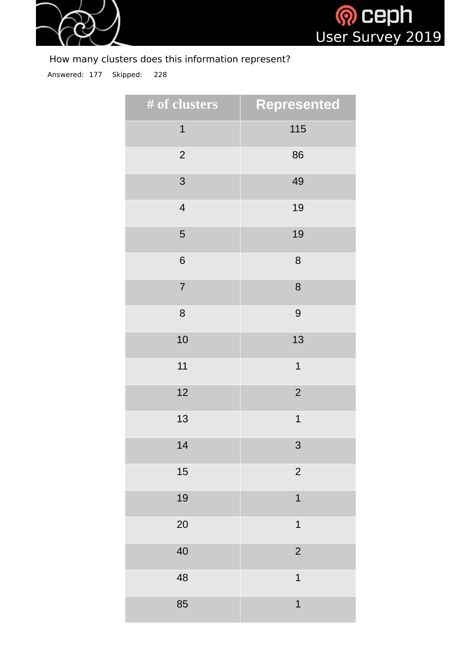



### How many clusters does this information represent?

Answered: 177 Skipped: 228

| # of clusters  | <b>Represented</b> |
|----------------|--------------------|
| $\mathbf{1}$   | 115                |
| $\overline{2}$ | 86                 |
| 3              | 49                 |
| $\overline{4}$ | 19                 |
| 5              | 19                 |
| 6              | 8                  |
| $\overline{7}$ | 8                  |
| 8              | 9                  |
| 10             | 13                 |
| $11\,$         | $\mathbf 1$        |
| 12             | $\overline{2}$     |
| 13             | $\mathbf 1$        |
| 14             | 3                  |
| 15             | $\overline{2}$     |
| 19             | $\mathbf 1$        |
| 20             | $\mathbf 1$        |
| 40             | $\overline{2}$     |
| 48             | $\mathbf 1$        |
| 85             | $\mathbf 1$        |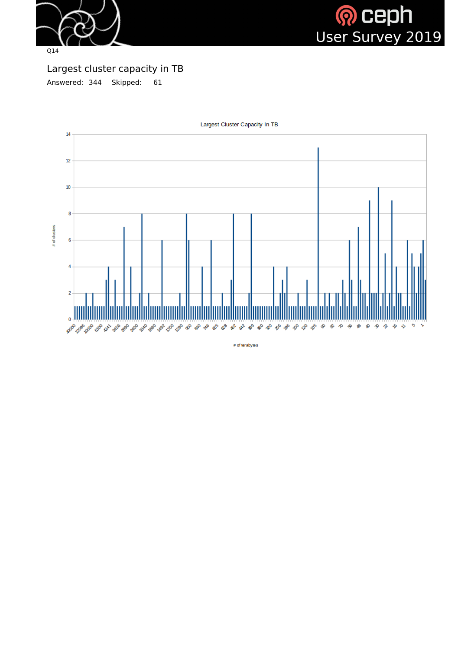



Largest cluster capacity in TB Answered: 344 Skipped: 61



Largest Cluster Capacity In TB

 $\#$  of terabytes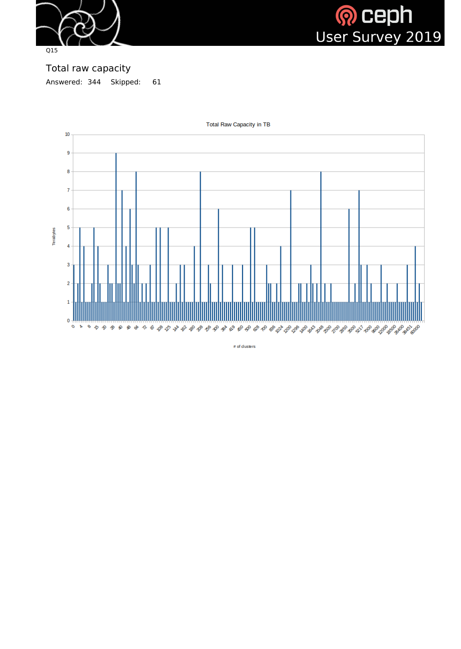



Total raw capacity Answered: 344 Skipped: 61



**Total Raw Capacity in TB** 

# of dusters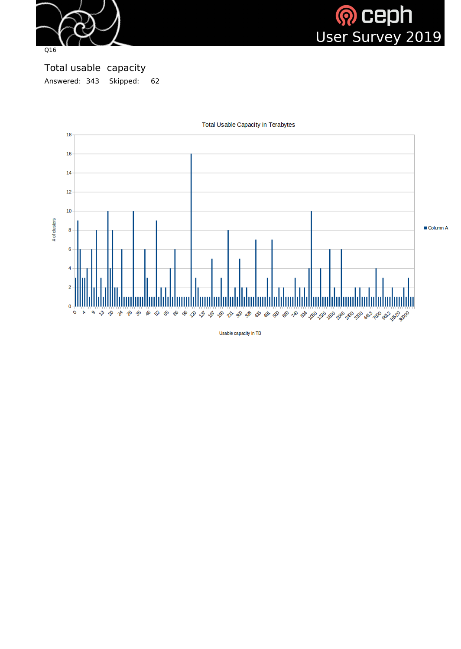



Total usable capacity Answered: 343 Skipped: 62



Total Usable Capacity in Terabytes

Usable capacity in TB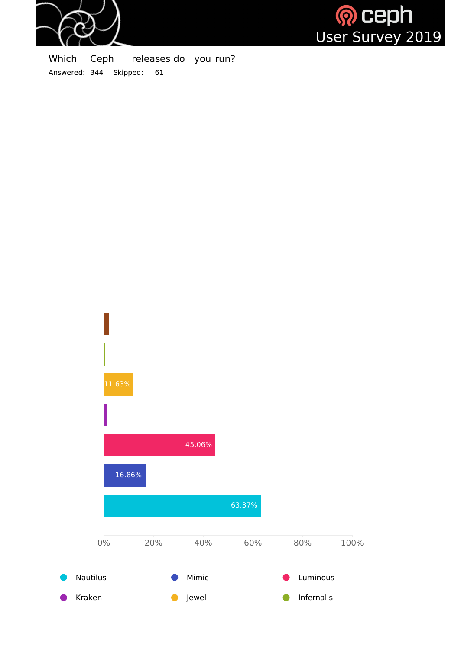



Which Ceph releases do you run? Answered: 344 Skipped: 61

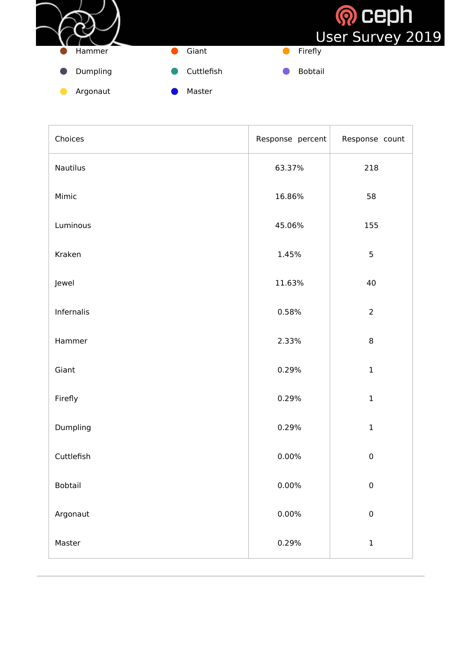

| Choices         | Response percent | Response count |
|-----------------|------------------|----------------|
| <b>Nautilus</b> | 63.37%           | 218            |
| Mimic           | 16.86%           | 58             |
| Luminous        | 45.06%           | 155            |
| Kraken          | 1.45%            | 5              |
| Jewel           | 11.63%           | 40             |
| Infernalis      | 0.58%            | $\overline{2}$ |
| Hammer          | 2.33%            | $\, 8$         |
| Giant           | 0.29%            | $\mathbf{1}$   |
| Firefly         | 0.29%            | $\mathbf 1$    |
| Dumpling        | 0.29%            | $\mathbf 1$    |
| Cuttlefish      | $0.00\%$         | $\pmb{0}$      |
| <b>Bobtail</b>  | $0.00\%$         | $\pmb{0}$      |
| Argonaut        | $0.00\%$         | ${\bf 0}$      |
| Master          | 0.29%            | $\mathbf 1$    |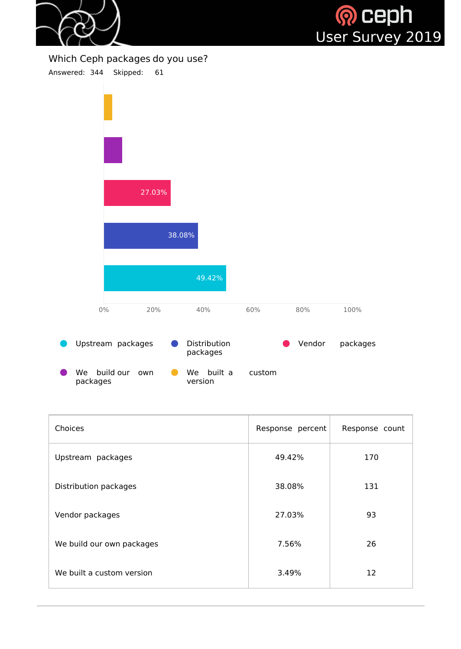![](_page_33_Picture_0.jpeg)

![](_page_33_Picture_1.jpeg)

#### Which Ceph packages do you use?

Answered: 344 Skipped: 61

![](_page_33_Figure_4.jpeg)

We build our own packages We built a custom version

| <b>Choices</b>               | Response percent | Response count |
|------------------------------|------------------|----------------|
| Upstream packages            | 49.42%           | 170            |
| <b>Distribution packages</b> | 38.08%           | 131            |
| Vendor packages              | 27.03%           | 93             |
| We build our own packages    | 7.56%            | 26             |
| We built a custom version    | 3.49%            | 12             |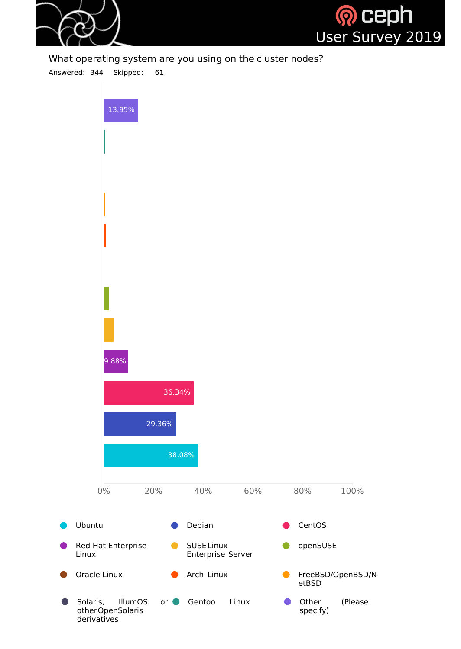![](_page_34_Picture_0.jpeg)

![](_page_34_Picture_1.jpeg)

What operating system are you using on the cluster nodes?

Answered: 344 Skipped: 61

![](_page_34_Figure_4.jpeg)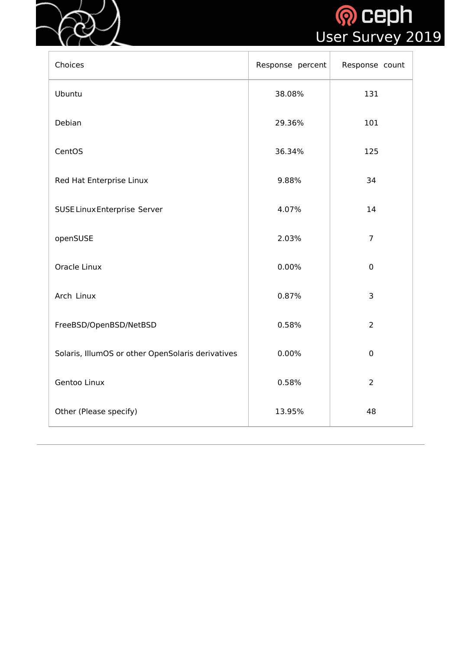![](_page_35_Picture_0.jpeg)

![](_page_35_Picture_1.jpeg)

| Choices                                           | Response percent | Response count |
|---------------------------------------------------|------------------|----------------|
| Ubuntu                                            | 38.08%           | 131            |
| Debian                                            | 29.36%           | 101            |
| CentOS                                            | 36.34%           | 125            |
| Red Hat Enterprise Linux                          | 9.88%            | 34             |
| <b>SUSE Linux Enterprise Server</b>               | 4.07%            | 14             |
| openSUSE                                          | 2.03%            | $\overline{7}$ |
| <b>Oracle Linux</b>                               | 0.00%            | $\overline{0}$ |
| Arch Linux                                        | 0.87%            | 3              |
| FreeBSD/OpenBSD/NetBSD                            | 0.58%            | $\overline{2}$ |
| Solaris, IllumOS or other OpenSolaris derivatives | 0.00%            | $\mathbf 0$    |
| Gentoo Linux                                      | 0.58%            | $\overline{2}$ |
| Other (Please specify)                            | 13.95%           | 48             |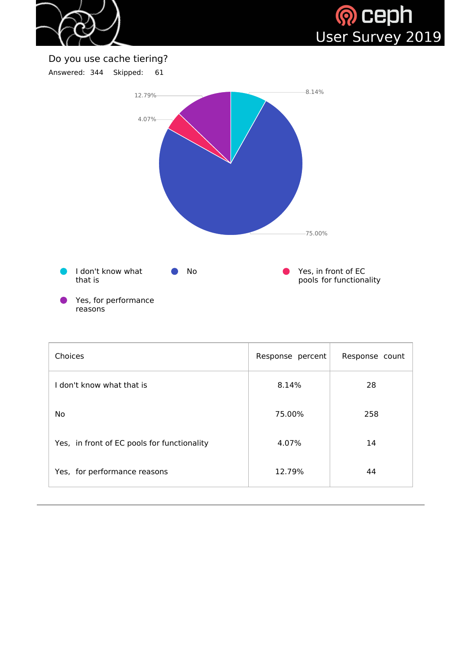



## Do you use cache tiering?

Answered: 344 Skipped: 61



| <b>Choices</b>                              | Response percent | Response count |
|---------------------------------------------|------------------|----------------|
| l don't know what that is                   | 8.14%            | 28             |
| <b>No</b>                                   | 75.00%           | 258            |
| Yes, in front of EC pools for functionality | 4.07%            | 14             |
| Yes, for performance reasons                | 12.79%           | 44             |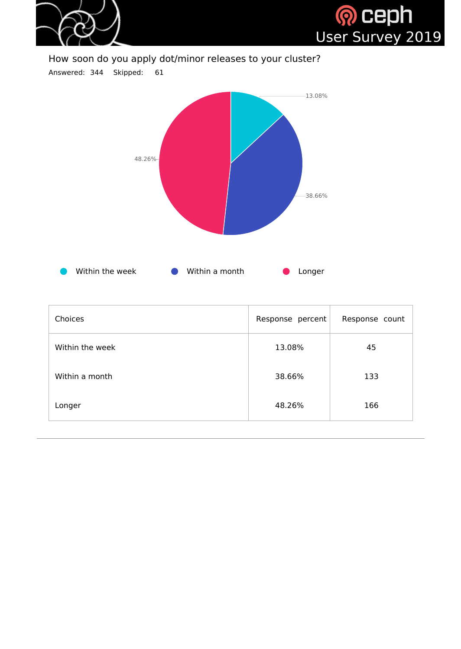

#### How soon do you apply dot/minor releases to your cluster?

Answered: 344 Skipped: 61



| Choices         | Response percent | Response count |
|-----------------|------------------|----------------|
| Within the week | 13.08%           | 45             |
| Within a month  | 38.66%           | 133            |
| Longer          | 48.26%           | 166            |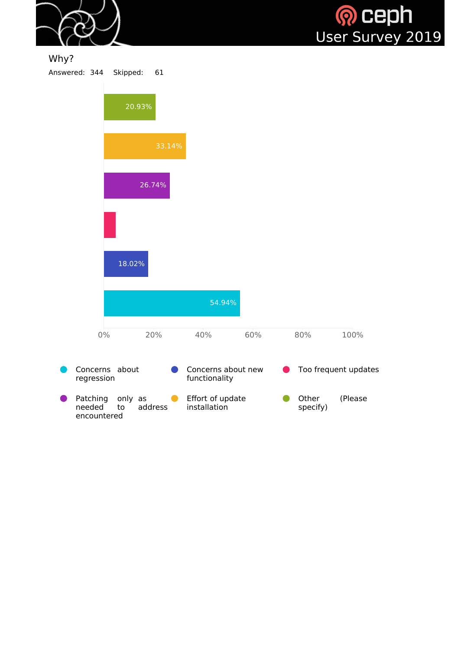

## Why?

Answered: 344 Skipped: 61

encountered

|                              | 20.93%             |                                     |     |                   |                      |
|------------------------------|--------------------|-------------------------------------|-----|-------------------|----------------------|
|                              | 33.14%             |                                     |     |                   |                      |
|                              | 26.74%             |                                     |     |                   |                      |
|                              |                    |                                     |     |                   |                      |
|                              | 18.02%             |                                     |     |                   |                      |
|                              |                    | 54.94%                              |     |                   |                      |
| $0\%$                        | 20%                | 40%                                 | 60% | 80%               | 100%                 |
| Concerns about<br>regression |                    | Concerns about new<br>functionality |     |                   | Too frequent updates |
| Patching<br>needed<br>to     | only as<br>address | Effort of update<br>installation    |     | Other<br>specify) | (Please              |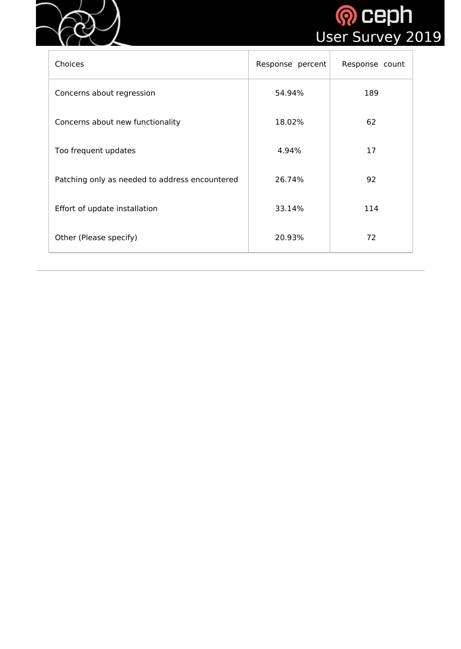



| Choices                                        | Response percent | Response count |
|------------------------------------------------|------------------|----------------|
| Concerns about regression                      | 54.94%           | 189            |
| Concerns about new functionality               | 18.02%           | 62             |
| Too frequent updates                           | 4.94%            | 17             |
| Patching only as needed to address encountered | 26.74%           | 92             |
| Effort of update installation                  | 33.14%           | 114            |
| Other (Please specify)                         | 20.93%           | 72             |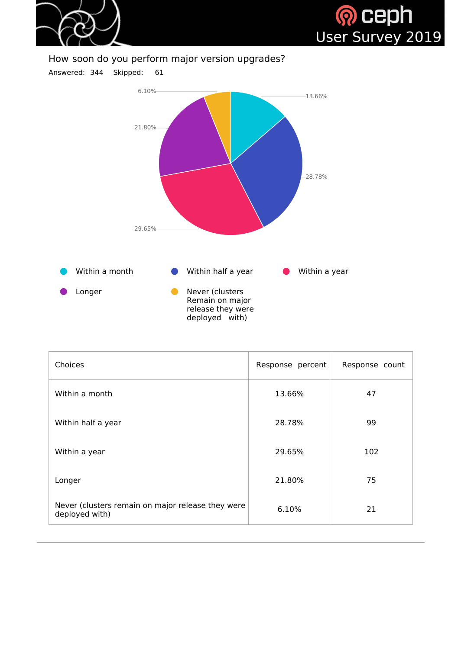



#### How soon do you perform major version upgrades?





| Choices                                                             | Response percent | Response count |
|---------------------------------------------------------------------|------------------|----------------|
| Within a month                                                      | 13.66%           | 47             |
| Within half a year                                                  | 28.78%           | 99             |
| Within a year                                                       | 29.65%           | 102            |
| Longer                                                              | 21.80%           | 75             |
| Never (clusters remain on major release they were<br>deployed with) | 6.10%            | 21             |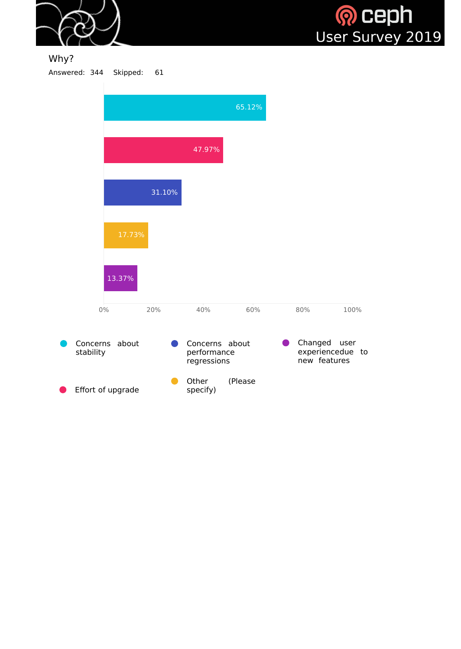



#### Why? Answered: 344 Skipped: 61

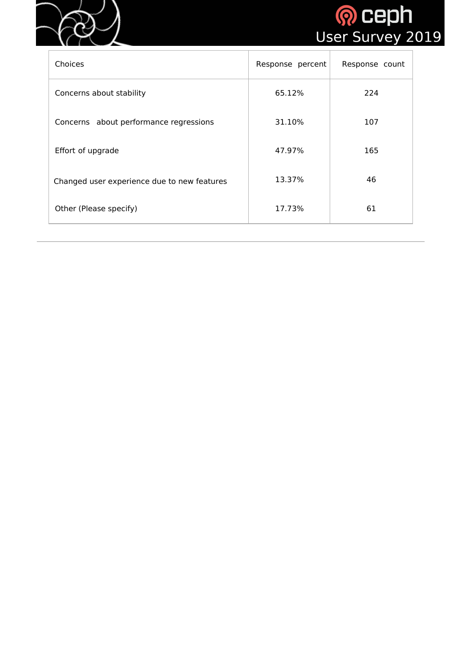



| <b>Choices</b>                              | Response percent | Response count |
|---------------------------------------------|------------------|----------------|
| Concerns about stability                    | 65.12%           | 224            |
| Concerns about performance regressions      | 31.10%           | 107            |
| Effort of upgrade                           | 47.97%           | 165            |
| Changed user experience due to new features | 13.37%           | 46             |
| Other (Please specify)                      | 17.73%           | 61             |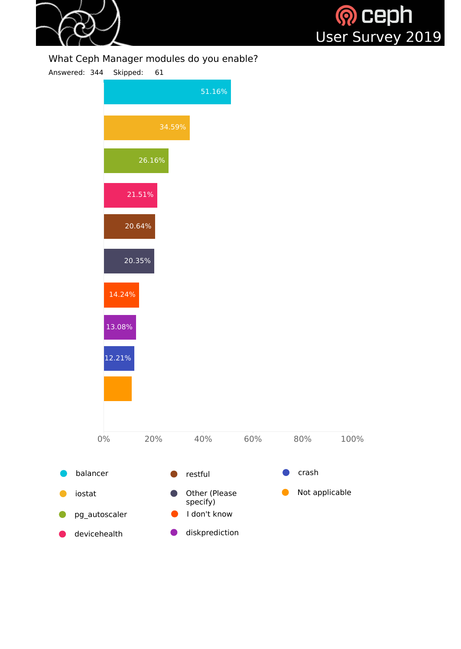

# <mark>® Ceph</mark><br>User Survey 2019

#### What Ceph Manager modules do you enable?

Answered: 344 Skipped: 61

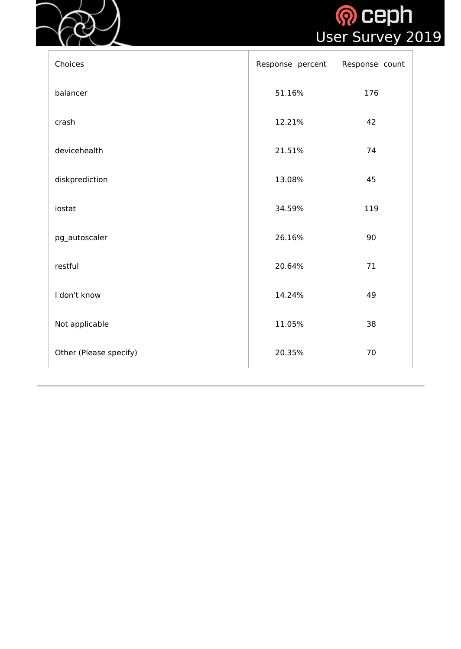



| Choices                | Response percent | Response count |
|------------------------|------------------|----------------|
| balancer               | 51.16%           | 176            |
| crash                  | 12.21%           | 42             |
| devicehealth           | 21.51%           | 74             |
| diskprediction         | 13.08%           | 45             |
| iostat                 | 34.59%           | 119            |
| pg_autoscaler          | 26.16%           | 90             |
| restful                | 20.64%           | 71             |
| I don't know           | 14.24%           | 49             |
| Not applicable         | 11.05%           | 38             |
| Other (Please specify) | 20.35%           | 70             |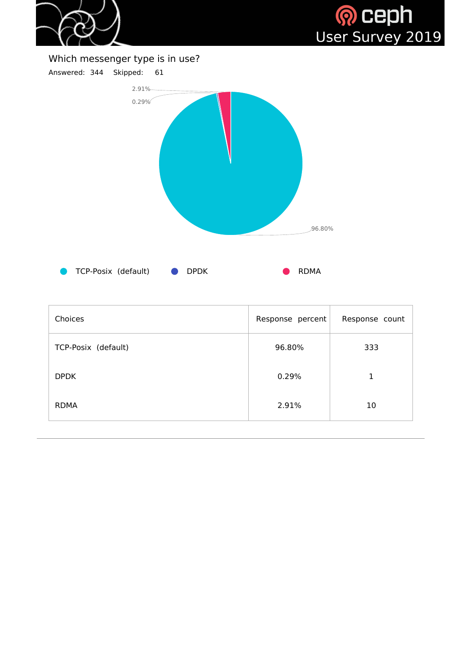



Which messenger type is in use?



| Choices             | Response percent | Response count |
|---------------------|------------------|----------------|
| TCP-Posix (default) | 96.80%           | 333            |
| <b>DPDK</b>         | 0.29%            |                |
| <b>RDMA</b>         | 2.91%            | 10             |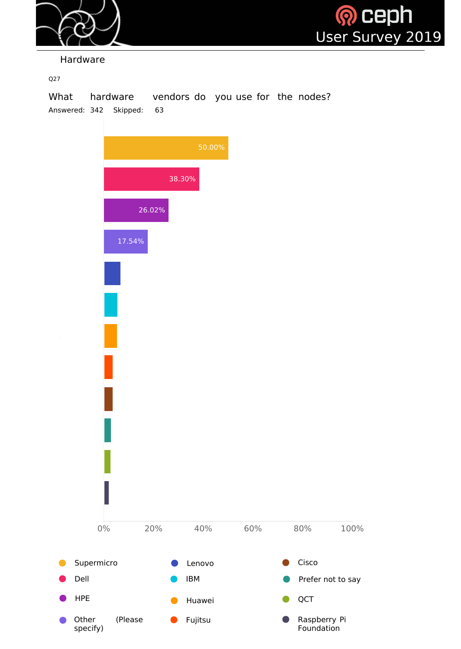



Hardware

Q27

What hardware vendors do you use for the nodes? Answered: 342 Skipped: 63

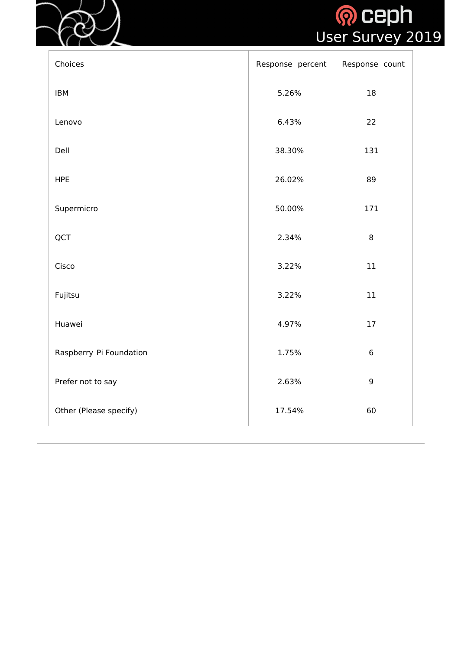



| Choices                 | Response percent | Response count |
|-------------------------|------------------|----------------|
| <b>IBM</b>              | 5.26%            | 18             |
| Lenovo                  | 6.43%            | 22             |
| Dell                    | 38.30%           | 131            |
| <b>HPE</b>              | 26.02%           | 89             |
| Supermicro              | 50.00%           | 171            |
| QCT                     | 2.34%            | 8              |
| Cisco                   | 3.22%            | $11\,$         |
| Fujitsu                 | 3.22%            | $11\,$         |
| Huawei                  | 4.97%            | 17             |
| Raspberry Pi Foundation | 1.75%            | 6              |
| Prefer not to say       | 2.63%            | 9              |
| Other (Please specify)  | 17.54%           | 60             |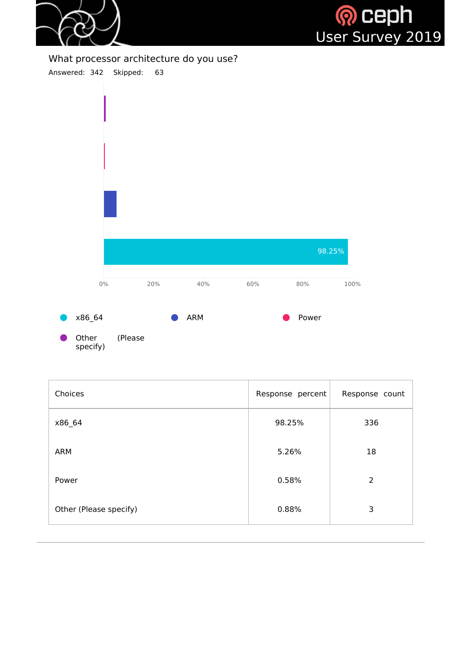



What processor architecture do you use?

Answered: 342 Skipped: 63



| Choices                | Response percent | Response count |
|------------------------|------------------|----------------|
| x86_64                 | 98.25%           | 336            |
| <b>ARM</b>             | 5.26%            | 18             |
| Power                  | 0.58%            | $\overline{2}$ |
| Other (Please specify) | 0.88%            | 3              |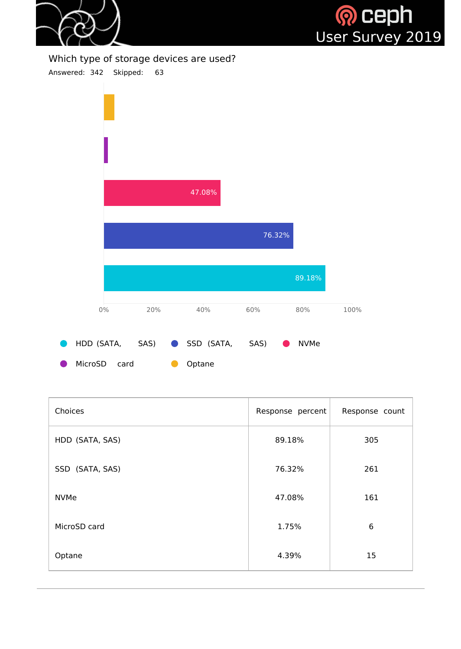



#### Which type of storage devices are used?



| MicroSD card | • Optane |
|--------------|----------|
|              |          |

| Choices         | Response percent | Response count |
|-----------------|------------------|----------------|
| HDD (SATA, SAS) | 89.18%           | 305            |
| SSD (SATA, SAS) | 76.32%           | 261            |
| <b>NVMe</b>     | 47.08%           | 161            |
| MicroSD card    | 1.75%            | 6              |
| Optane          | 4.39%            | 15             |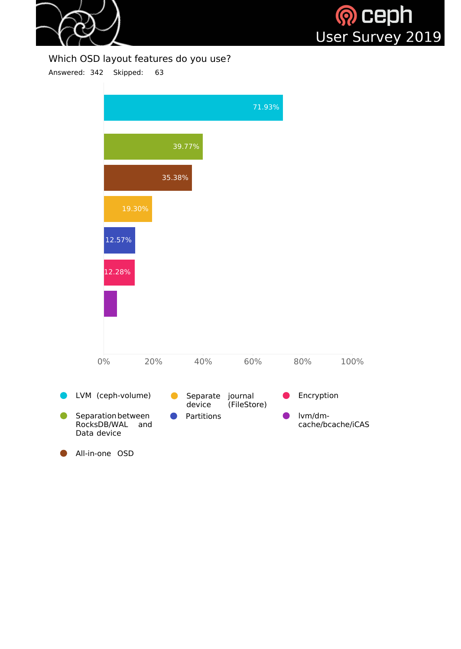



#### Which OSD layout features do you use?

Answered: 342 Skipped: 63

|                                                  |        |                    | 71.93%                 |            |                   |
|--------------------------------------------------|--------|--------------------|------------------------|------------|-------------------|
|                                                  |        | 39.77%             |                        |            |                   |
|                                                  | 35.38% |                    |                        |            |                   |
|                                                  | 19.30% |                    |                        |            |                   |
| 12.57%                                           |        |                    |                        |            |                   |
| 12.28%                                           |        |                    |                        |            |                   |
|                                                  |        |                    |                        |            |                   |
|                                                  |        |                    |                        |            |                   |
| $0\%$                                            | 20%    | 40%                | 60%                    | 80%        | 100%              |
| LVM (ceph-volume)                                |        | Separate<br>device | journal<br>(FileStore) | Encryption |                   |
| Separation between<br>RocksDB/WAL<br>Data device | and    | Partitions         |                        | lvm/dm-    | cache/bcache/iCAS |
| All-in-one OSD                                   |        |                    |                        |            |                   |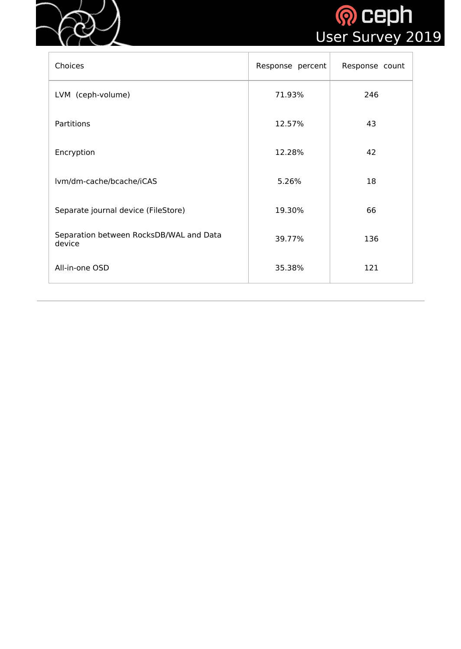



| Choices                                           | Response percent | Response count |
|---------------------------------------------------|------------------|----------------|
| LVM (ceph-volume)                                 | 71.93%           | 246            |
| Partitions                                        | 12.57%           | 43             |
| Encryption                                        | 12.28%           | 42             |
| lvm/dm-cache/bcache/iCAS                          | 5.26%            | 18             |
| Separate journal device (FileStore)               | 19.30%           | 66             |
| Separation between RocksDB/WAL and Data<br>device | 39.77%           | 136            |
| All-in-one OSD                                    | 35.38%           | 121            |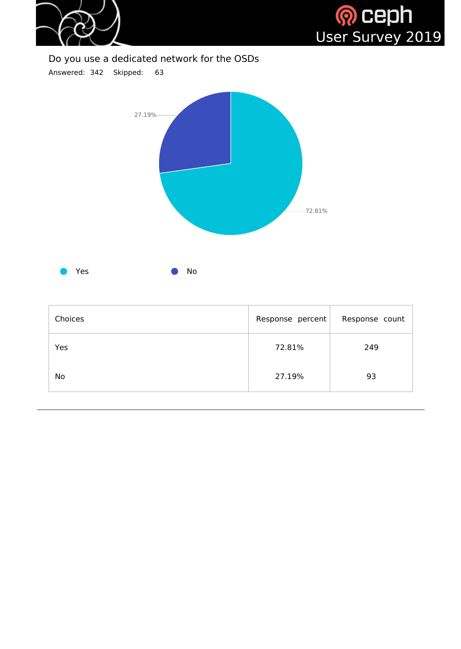



| Choices | Response percent | Response count |
|---------|------------------|----------------|
| Yes     | 72.81%           | 249            |
| No      | 27.19%           | 93             |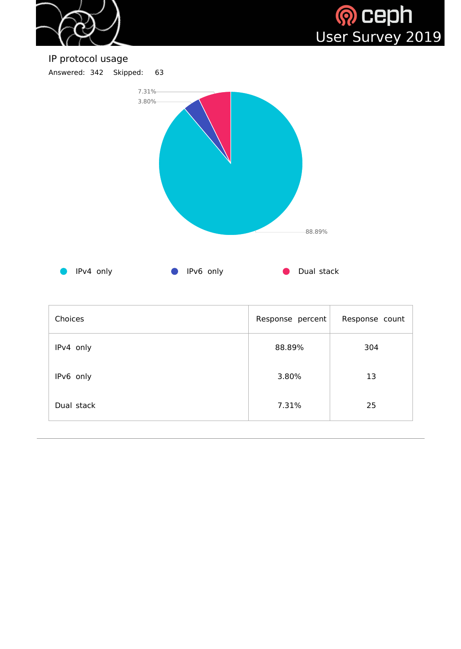



IP protocol usage Answered: 342 Skipped: 63



| Choices    | Response percent | Response count |
|------------|------------------|----------------|
| IPv4 only  | 88.89%           | 304            |
| IPv6 only  | 3.80%            | 13             |
| Dual stack | 7.31%            | 25             |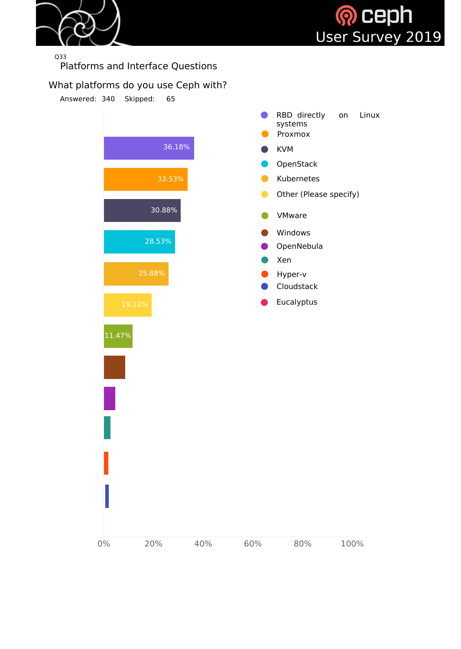



Q33

Platforms and Interface Questions

#### What platforms do you use Ceph with?

Answered: 340 Skipped: 65

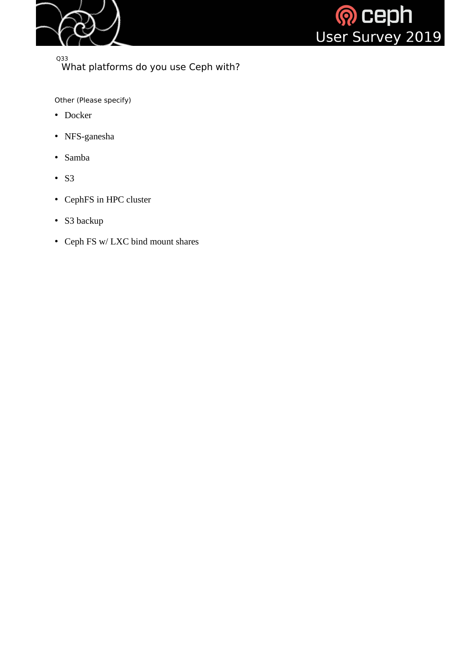



Q33 What platforms do you use Ceph with?

Other (Please specify)

- Docker
- NFS-ganesha
- Samba
- S3
- CephFS in HPC cluster
- S3 backup
- Ceph FS w/ LXC bind mount shares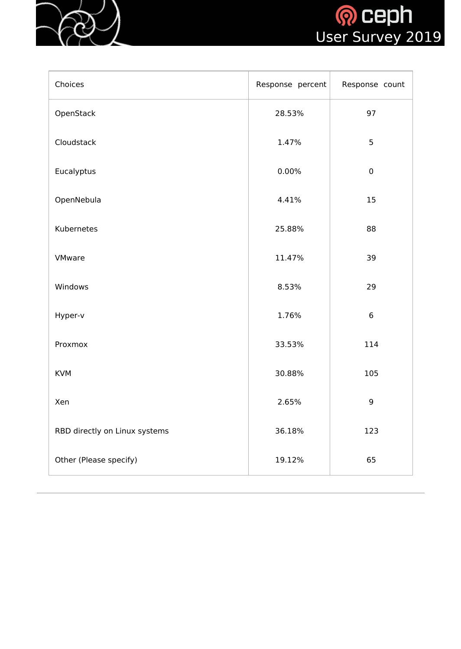



| Choices                       | Response percent | Response count  |
|-------------------------------|------------------|-----------------|
| OpenStack                     | 28.53%           | 97              |
| Cloudstack                    | 1.47%            | 5               |
| Eucalyptus                    | 0.00%            | $\pmb{0}$       |
| OpenNebula                    | 4.41%            | 15              |
| Kubernetes                    | 25.88%           | 88              |
| <b>VMware</b>                 | 11.47%           | 39              |
| Windows                       | 8.53%            | 29              |
| Hyper-v                       | 1.76%            | $6\phantom{1}6$ |
| Proxmox                       | 33.53%           | 114             |
| <b>KVM</b>                    | 30.88%           | 105             |
| Xen                           | 2.65%            | $\overline{9}$  |
| RBD directly on Linux systems | 36.18%           | 123             |
| Other (Please specify)        | 19.12%           | 65              |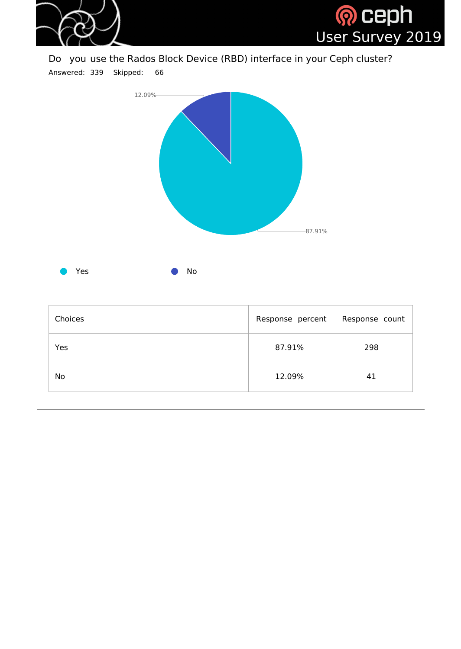

Do you use the Rados Block Device (RBD) interface in your Ceph cluster?

Answered: 339 Skipped: 66



| Choices   | Response percent | Response count |
|-----------|------------------|----------------|
| Yes       | 87.91%           | 298            |
| <b>No</b> | 12.09%           | 41             |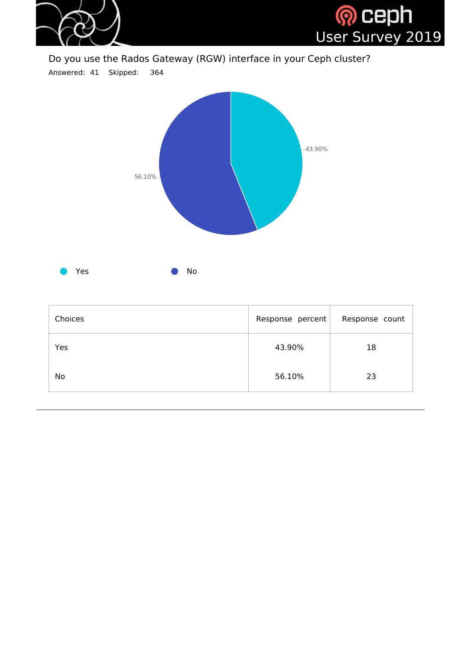

Do you use the Rados Gateway (RGW) interface in your Ceph cluster?

Answered: 41 Skipped: 364



| Choices   | Response percent | Response count |
|-----------|------------------|----------------|
| Yes       | 43.90%           | 18             |
| <b>No</b> | 56.10%           | 23             |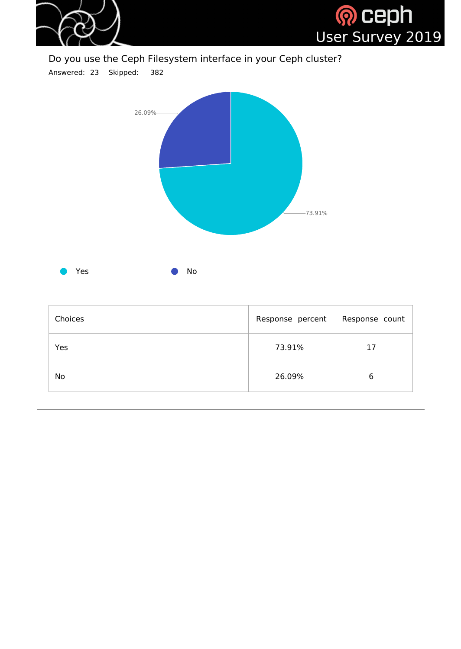

Do you use the Ceph Filesystem interface in your Ceph cluster?

Answered: 23 Skipped: 382



| Choices   | Response percent | Response count |
|-----------|------------------|----------------|
| Yes       | 73.91%           | 17             |
| <b>No</b> | 26.09%           | 6              |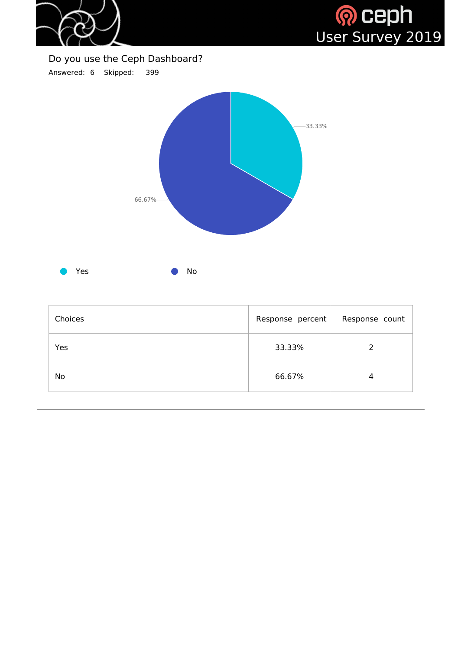

H)



## Do you use the Ceph Dashboard?

Answered: 6 Skipped: 399



| Choices | Response percent | Response count |
|---------|------------------|----------------|
| Yes     | 33.33%           |                |
| No      | 66.67%           | $\overline{4}$ |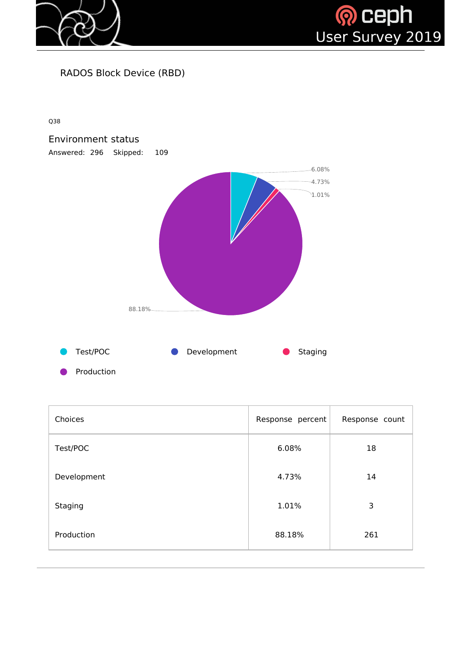



RADOS Block Device (RBD)

Q38



| Choices     | Response percent | Response count |
|-------------|------------------|----------------|
| Test/POC    | 6.08%            | 18             |
| Development | 4.73%            | 14             |
| Staging     | 1.01%            | 3              |
| Production  | 88.18%           | 261            |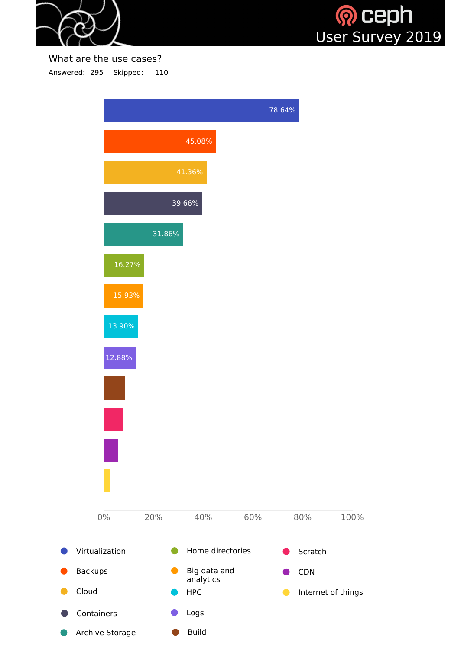



What are the use cases? Answered: 295 Skipped: 110

> 78.64% 45.08% 41.36% 39.66% 31.86% 16.27% 15.93% 13.90% 12.88% 0% 20% 40% 60% 80% 100% Virtualization **C** Home directories **C** Scratch Backups **Big data and** CDN  $\bullet$ analytics Cloud HPC Internet of things $\bullet$ Containers Logs

> > Build

Archive Storage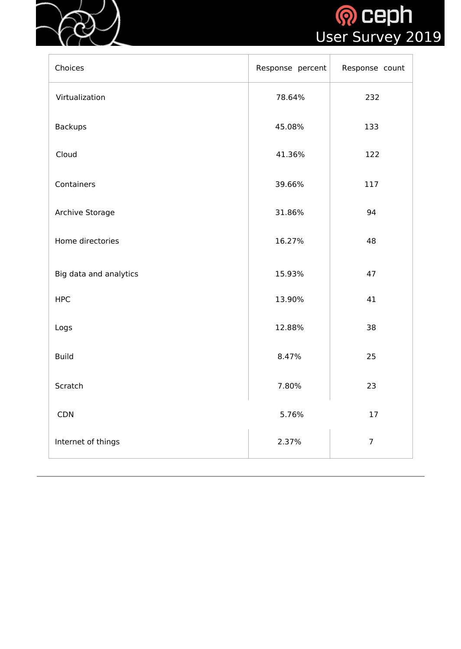



| Choices                | Response percent | Response count |
|------------------------|------------------|----------------|
| Virtualization         | 78.64%           | 232            |
| <b>Backups</b>         | 45.08%           | 133            |
| Cloud                  | 41.36%           | 122            |
| Containers             | 39.66%           | 117            |
| <b>Archive Storage</b> | 31.86%           | 94             |
| Home directories       | 16.27%           | 48             |
| Big data and analytics | 15.93%           | 47             |
| <b>HPC</b>             | 13.90%           | 41             |
| Logs                   | 12.88%           | 38             |
| <b>Build</b>           | 8.47%            | 25             |
| Scratch                | 7.80%            | 23             |
| <b>CDN</b>             | 5.76%            | 17             |
| Internet of things     | 2.37%            | $\overline{7}$ |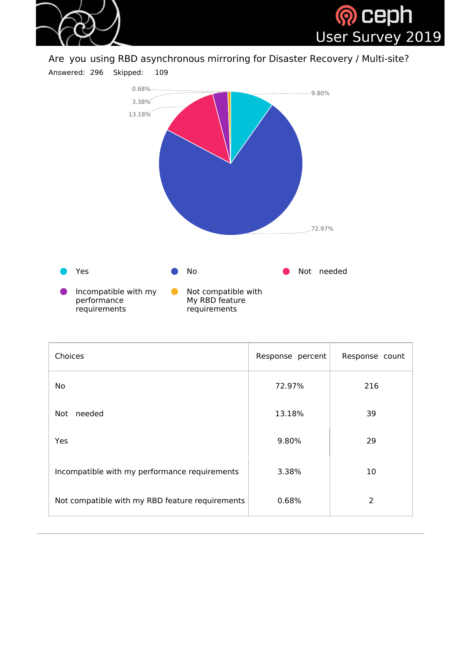



Are you using RBD asynchronous mirroring for Disaster Recovery / Multi-site?

Answered: 296 Skipped: 109



| <b>Choices</b>                                  | Response percent | Response count |
|-------------------------------------------------|------------------|----------------|
| <b>No</b>                                       | 72.97%           | 216            |
| needed<br>Not                                   | 13.18%           | 39             |
| <b>Yes</b>                                      | 9.80%            | 29             |
| Incompatible with my performance requirements   | 3.38%            | 10             |
| Not compatible with my RBD feature requirements | 0.68%            | 2              |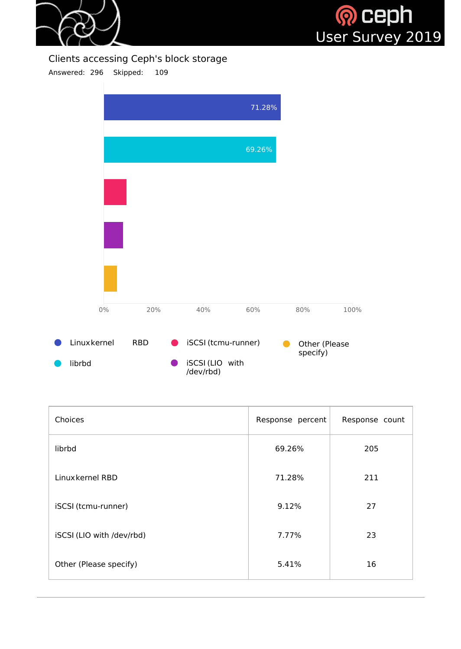



Clients accessing Ceph's block storage

Answered: 296 Skipped: 109



| Choices                   | Response percent | Response count |
|---------------------------|------------------|----------------|
| librbd                    | 69.26%           | 205            |
| Linux kernel RBD          | 71.28%           | 211            |
| iSCSI (tcmu-runner)       | 9.12%            | 27             |
| iSCSI (LIO with /dev/rbd) | 7.77%            | 23             |
| Other (Please specify)    | 5.41%            | 16             |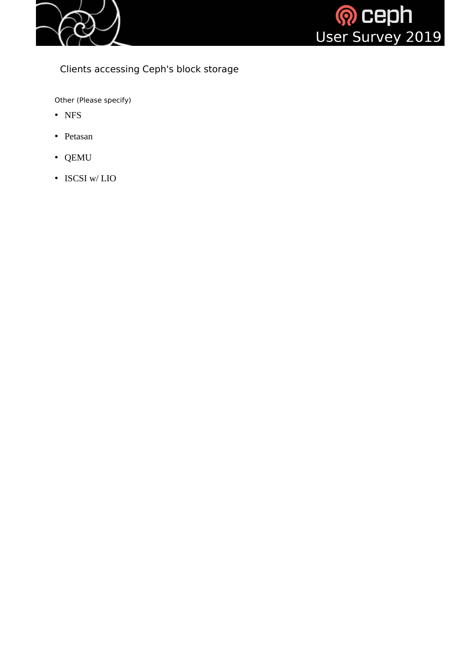



#### Clients accessing Ceph's block storage

Other (Please specify)

- NFS
- Petasan
- QEMU
- ISCSI w/LIO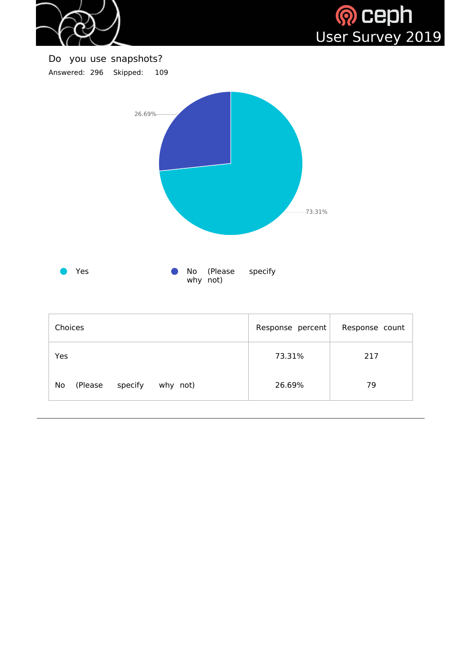



Do you use snapshots? Answered: 296 Skipped: 109 Yes **COMPANY CONSERVING** No (Please specify why not) 73.31% 26.69%

| Choices                              | Response percent | Response count |
|--------------------------------------|------------------|----------------|
| Yes                                  | 73.31%           | 217            |
| No<br>specify<br>(Please<br>why not) | 26.69%           | 79             |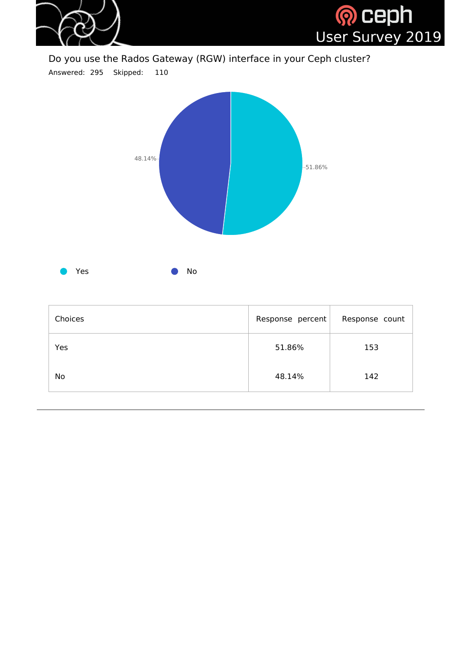

Do you use the Rados Gateway (RGW) interface in your Ceph cluster?

Answered: 295 Skipped: 110



| Choices   | Response percent | Response count |
|-----------|------------------|----------------|
| Yes       | 51.86%           | 153            |
| <b>No</b> | 48.14%           | 142            |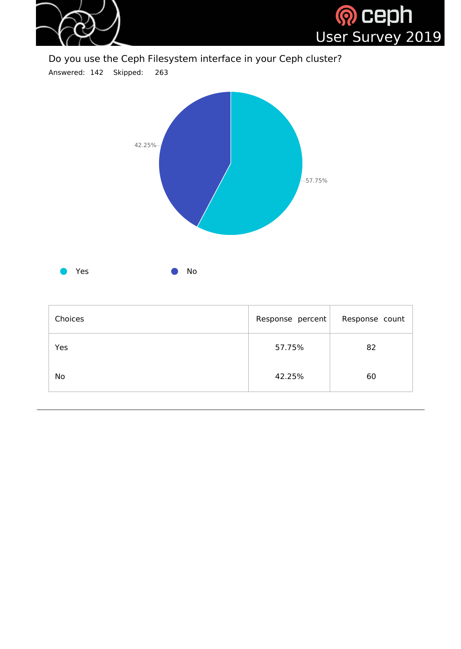

Do you use the Ceph Filesystem interface in your Ceph cluster?

Answered: 142 Skipped: 263



| Choices   | Response percent | Response count |
|-----------|------------------|----------------|
| Yes       | 57.75%           | 82             |
| <b>No</b> | 42.25%           | 60             |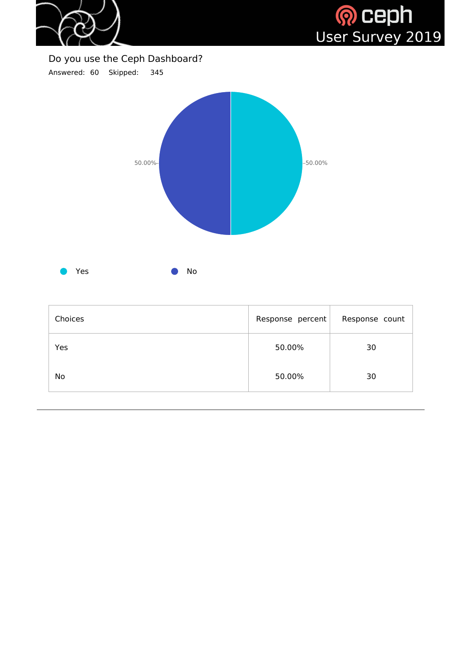

H)



#### Do you use the Ceph Dashboard?

Answered: 60 Skipped: 345



| Choices   | Response percent | Response count |
|-----------|------------------|----------------|
| Yes       | 50.00%           | 30             |
| <b>No</b> | 50.00%           | 30             |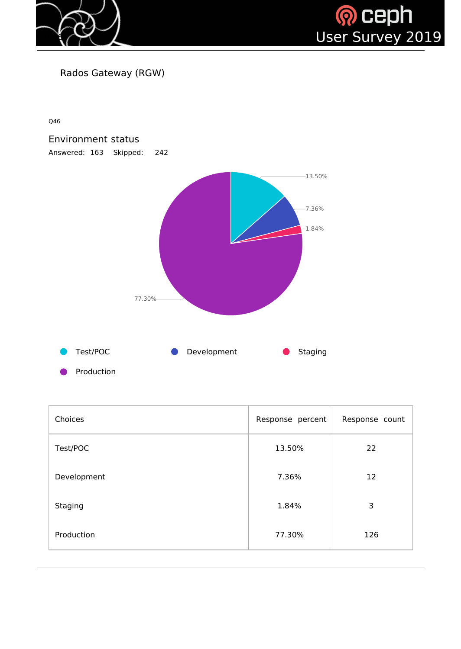



Rados Gateway (RGW)

Q46



| Choices     | Response percent | Response count |
|-------------|------------------|----------------|
| Test/POC    | 13.50%           | 22             |
| Development | 7.36%            | 12             |
| Staging     | 1.84%            | 3              |
| Production  | 77.30%           | 126            |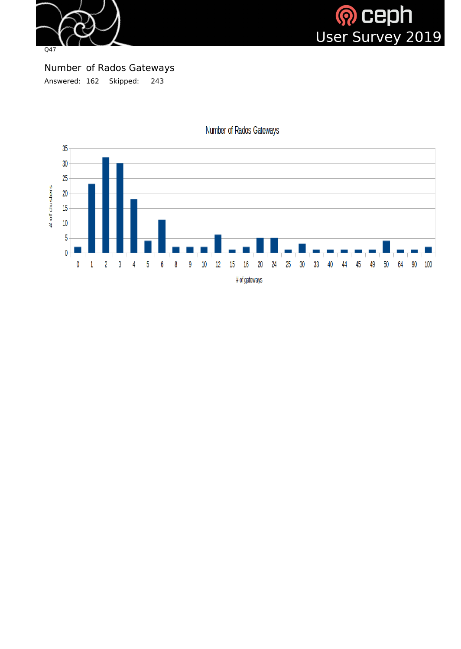



Number of Rados Gateways Answered: 162 Skipped: 243



Number of Rados Gateways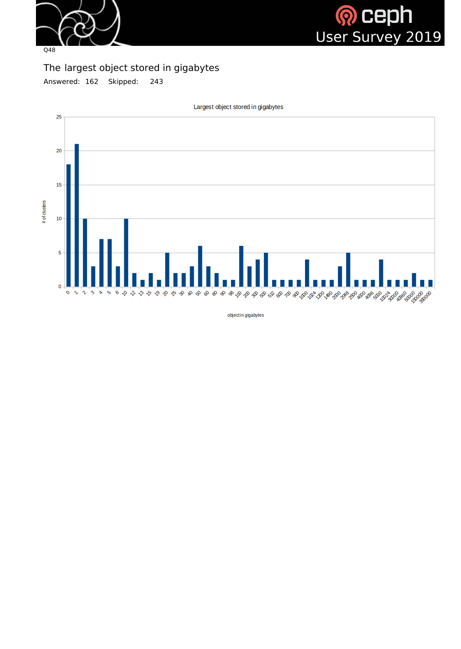



The largest object stored in gigabytes

Answered: 162 Skipped: 243



Largest object stored in gigabytes

objectin gigabytes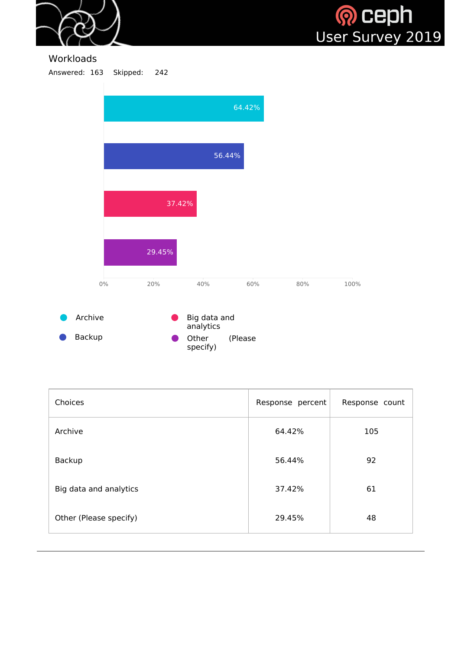



#### **Workloads**

Answered: 163 Skipped: 242



| Choices                | Response percent | Response count |
|------------------------|------------------|----------------|
| Archive                | 64.42%           | 105            |
| Backup                 | 56.44%           | 92             |
| Big data and analytics | 37.42%           | 61             |
| Other (Please specify) | 29.45%           | 48             |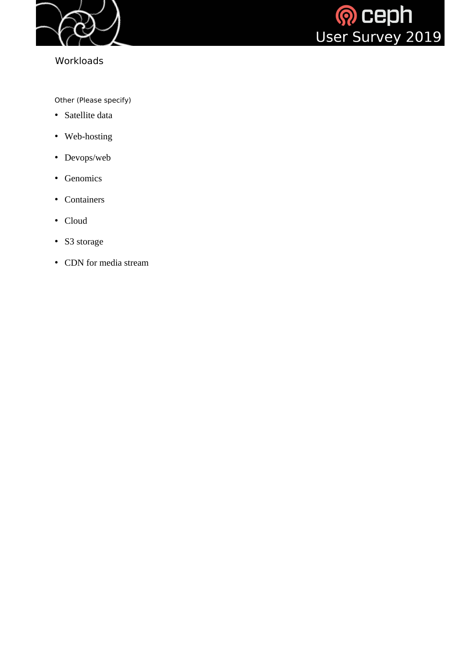

# Workloads



Other (Please specify)

- Satellite data
- Web-hosting
- Devops/web
- Genomics
- Containers
- Cloud
- S3 storage
- CDN for media stream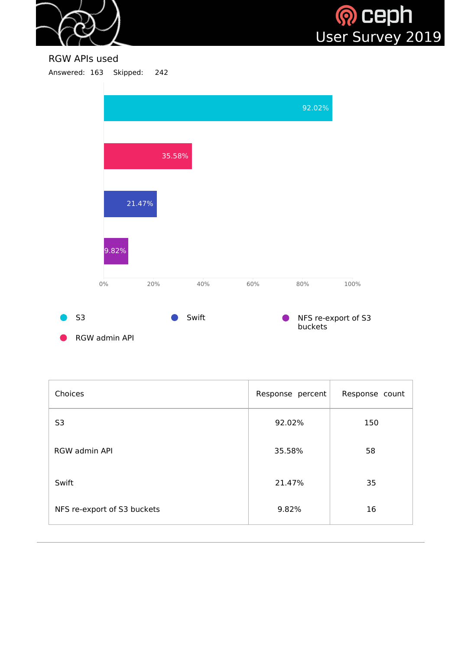



RGW APIs used

Answered: 163 Skipped: 242



| Choices                     | Response percent | Response count |
|-----------------------------|------------------|----------------|
| S <sub>3</sub>              | 92.02%           | 150            |
| <b>RGW admin API</b>        | 35.58%           | 58             |
| Swift                       | 21.47%           | 35             |
| NFS re-export of S3 buckets | 9.82%            | 16             |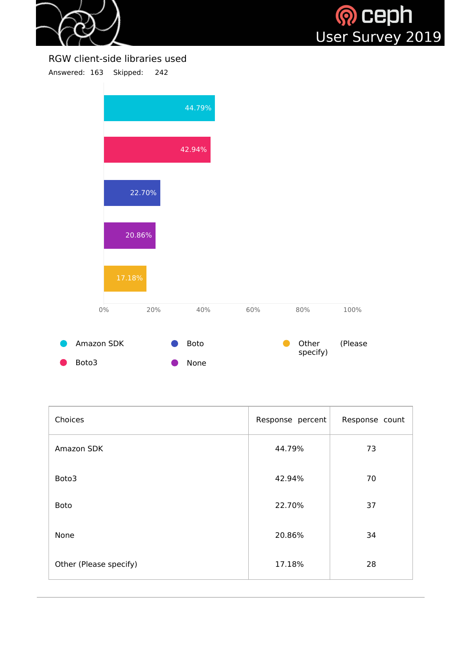

RGW client-side libraries used Answered: 163 Skipped: 242



| Choices                | Response percent | Response count |
|------------------------|------------------|----------------|
| Amazon SDK             | 44.79%           | 73             |
| Boto3                  | 42.94%           | 70             |
| <b>Boto</b>            | 22.70%           | 37             |
| None                   | 20.86%           | 34             |
| Other (Please specify) | 17.18%           | 28             |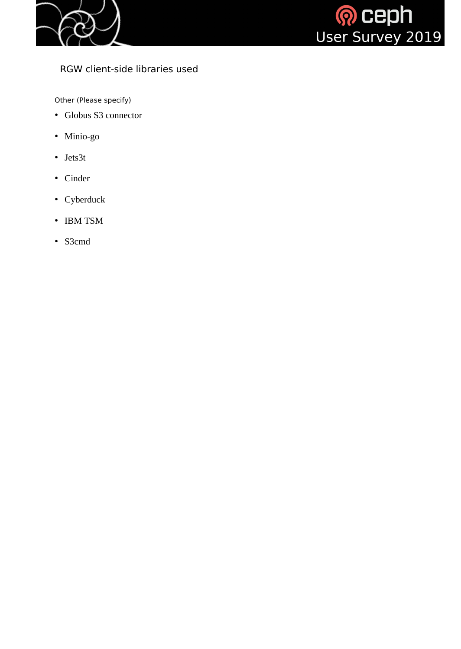



# RGW client-side libraries used

Other (Please specify)

- Globus S3 connector
- Minio-go
- Jets3t
- Cinder
- Cyberduck
- IBM TSM
- S3cmd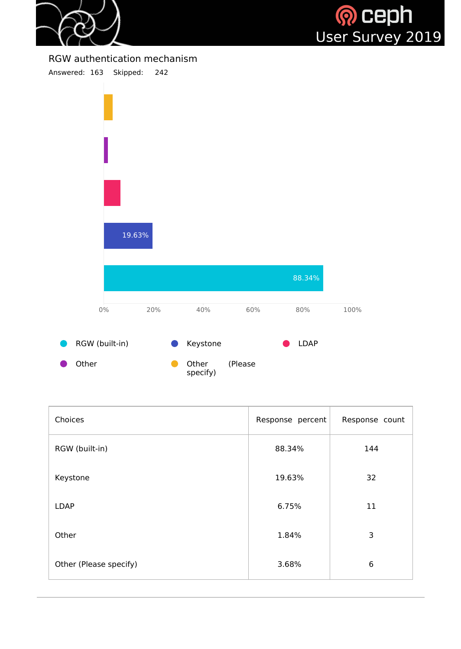



RGW authentication mechanism



| Choices                | Response percent | Response count |
|------------------------|------------------|----------------|
| RGW (built-in)         | 88.34%           | 144            |
| Keystone               | 19.63%           | 32             |
| <b>LDAP</b>            | 6.75%            | 11             |
| Other                  | 1.84%            | 3              |
| Other (Please specify) | 3.68%            | 6              |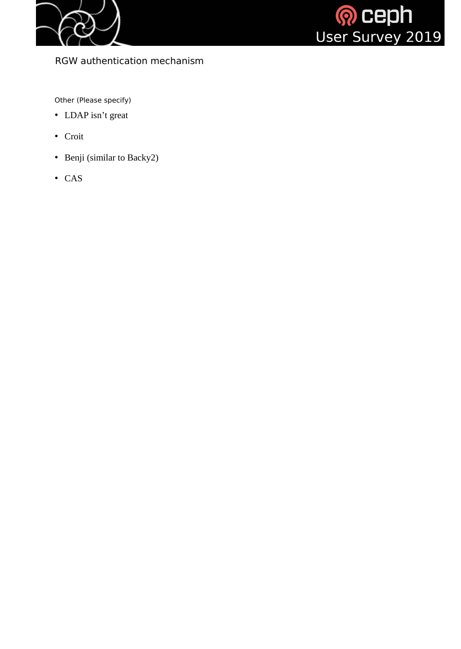



RGW authentication mechanism

Other (Please specify)

- LDAP isn't great
- Croit
- Benji (similar to Backy2)
- CAS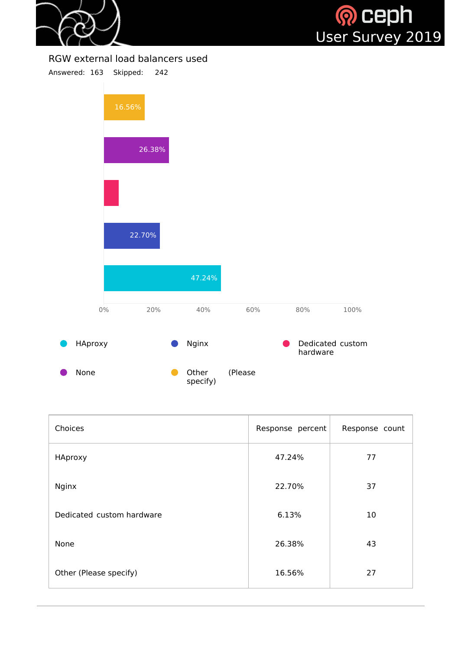

### RGW external load balancers used



| Choices                   | Response percent | Response count |
|---------------------------|------------------|----------------|
| HAproxy                   | 47.24%           | 77             |
| <b>Nginx</b>              | 22.70%           | 37             |
| Dedicated custom hardware | 6.13%            | 10             |
| <b>None</b>               | 26.38%           | 43             |
| Other (Please specify)    | 16.56%           | 27             |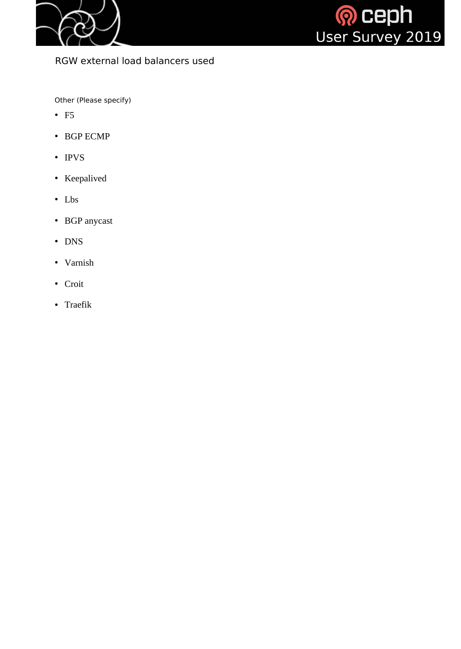



## RGW external load balancers used

Other (Please specify)

- F5
- BGP ECMP
- IPVS
- Keepalived
- Lbs
- BGP anycast
- DNS
- Varnish
- Croit
- Traefik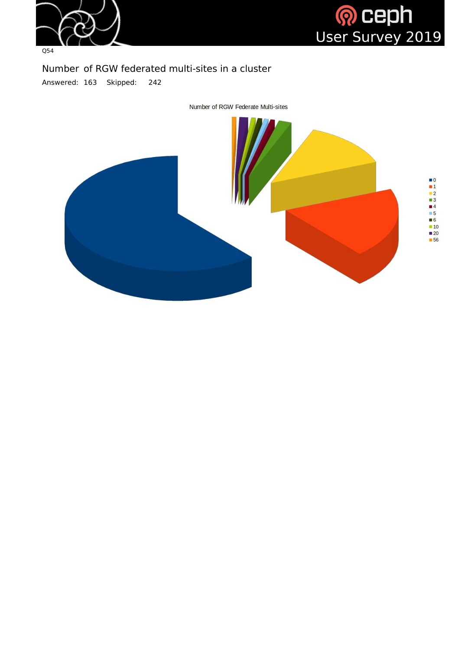



# Number of RGW federated multi-sites in a cluster Answered: 163 Skipped: 242

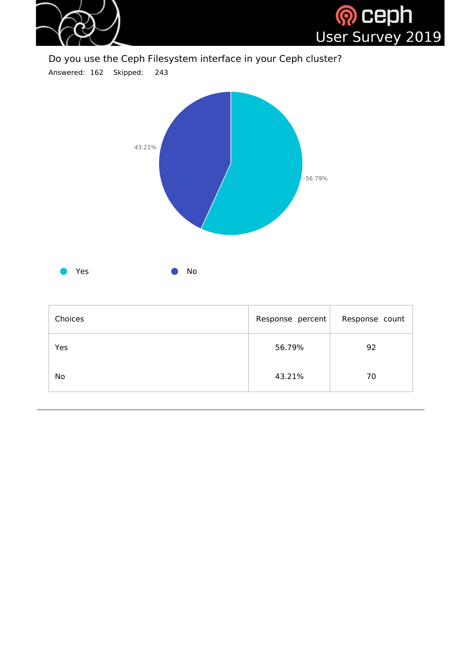

Do you use the Ceph Filesystem interface in your Ceph cluster?

Answered: 162 Skipped: 243



| Choices   | Response percent | Response count |
|-----------|------------------|----------------|
| Yes       | 56.79%           | 92             |
| <b>No</b> | 43.21%           | 70             |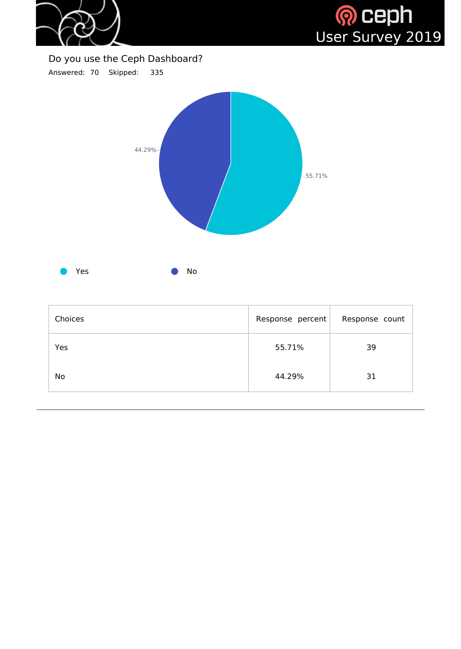

H)



# Do you use the Ceph Dashboard?

Answered: 70 Skipped: 335



| Choices   | Response percent | Response count |
|-----------|------------------|----------------|
| Yes       | 55.71%           | 39             |
| <b>No</b> | 44.29%           | 31             |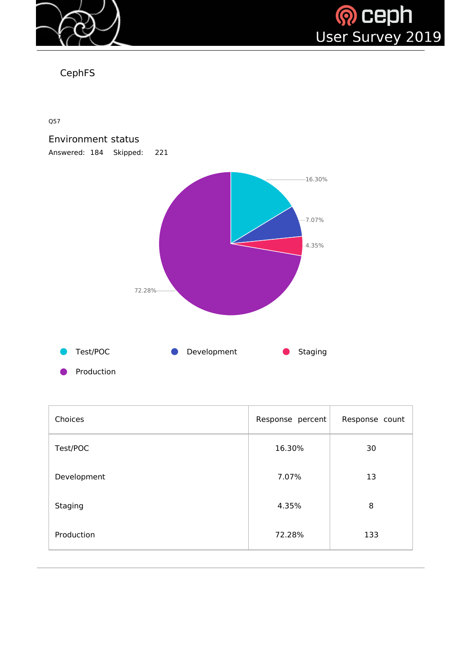



CephFS

Q57

# Environment status Answered: 184 Skipped: 221



| Choices     | Response percent | Response count |
|-------------|------------------|----------------|
| Test/POC    | 16.30%           | 30             |
| Development | 7.07%            | 13             |
| Staging     | 4.35%            | 8              |
| Production  | 72.28%           | 133            |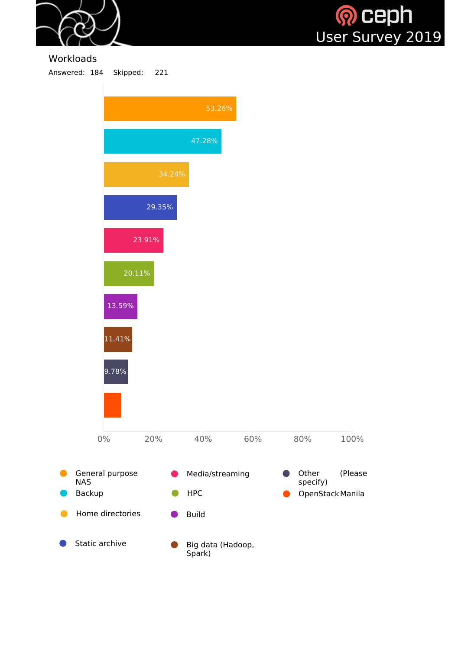



#### Workloads

Answered: 184 Skipped: 221

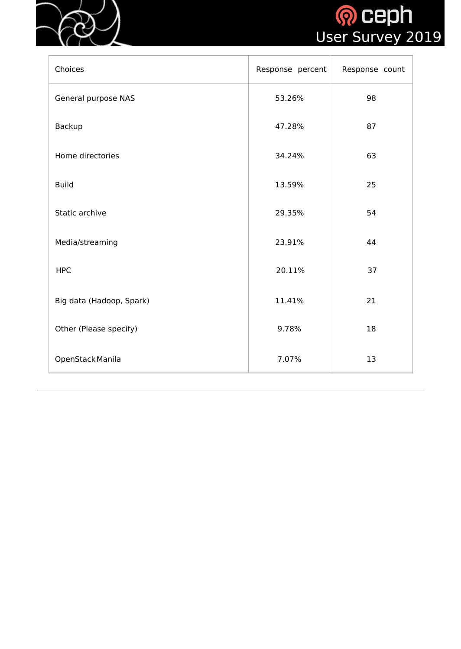



| Choices                    | Response percent | Response count |
|----------------------------|------------------|----------------|
| <b>General purpose NAS</b> | 53.26%           | 98             |
| <b>Backup</b>              | 47.28%           | 87             |
| Home directories           | 34.24%           | 63             |
| <b>Build</b>               | 13.59%           | 25             |
| Static archive             | 29.35%           | 54             |
| Media/streaming            | 23.91%           | 44             |
| <b>HPC</b>                 | 20.11%           | 37             |
| Big data (Hadoop, Spark)   | 11.41%           | 21             |
| Other (Please specify)     | 9.78%            | 18             |
| OpenStack Manila           | 7.07%            | 13             |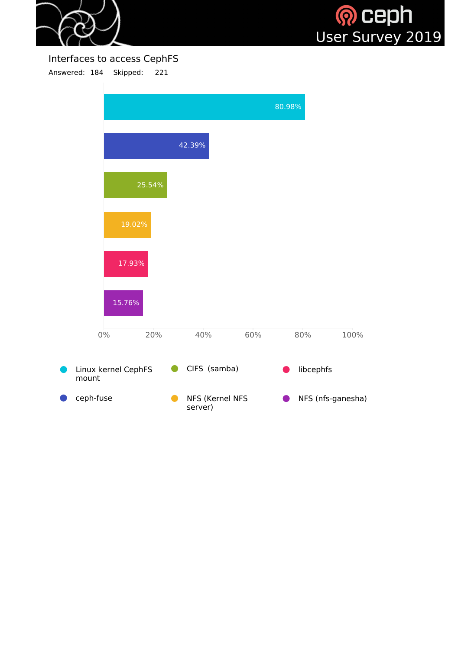



# Interfaces to access CephFS

Answered: 184 Skipped: 221

|                              |                            |     | 80.98%    |                   |
|------------------------------|----------------------------|-----|-----------|-------------------|
|                              | 42.39%                     |     |           |                   |
| 25.54%                       |                            |     |           |                   |
| 19.02%                       |                            |     |           |                   |
| 17.93%                       |                            |     |           |                   |
| 15.76%                       |                            |     |           |                   |
| $0\%$<br>20%                 | 40%                        | 60% | 80%       | 100%              |
| Linux kernel CephFS<br>mount | CIFS (samba)               |     | libcephfs |                   |
| ceph-fuse                    | NFS (Kernel NFS<br>server) |     |           | NFS (nfs-ganesha) |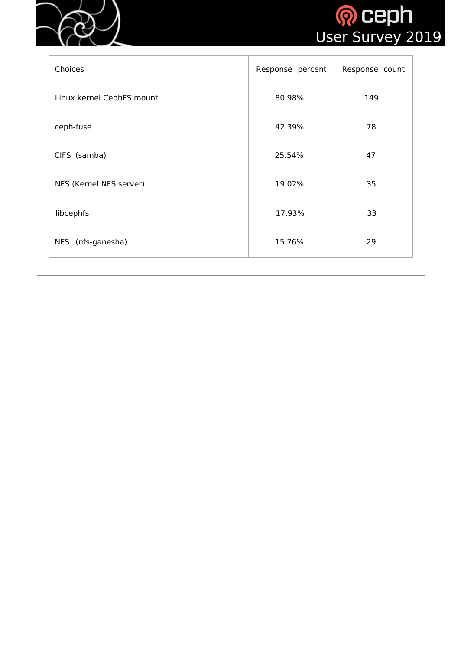



| Choices                   | Response percent | Response count |
|---------------------------|------------------|----------------|
| Linux kernel CephFS mount | 80.98%           | 149            |
| ceph-fuse                 | 42.39%           | 78             |
| CIFS (samba)              | 25.54%           | 47             |
| NFS (Kernel NFS server)   | 19.02%           | 35             |
| libcephfs                 | 17.93%           | 33             |
| NFS (nfs-ganesha)         | 15.76%           | 29             |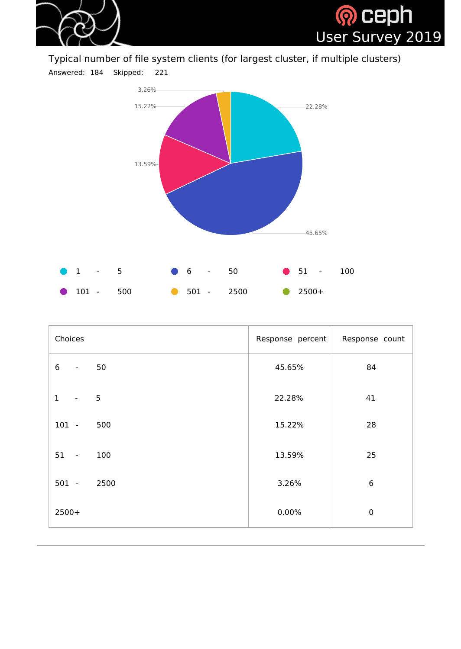

Typical number of file system clients (for largest cluster, if multiple clusters)



| Choices                                          | Response percent | Response count |
|--------------------------------------------------|------------------|----------------|
| $6\,$<br>50<br>$\blacksquare$                    | 45.65%           | 84             |
| 5 <sup>5</sup><br>$\mathbf{1}$<br>$\blacksquare$ | 22.28%           | 41             |
| $101 -$<br>500                                   | 15.22%           | 28             |
| $51 -$<br>100                                    | 13.59%           | 25             |
| 2500<br>$501 -$                                  | 3.26%            | $6\phantom{1}$ |
| $2500+$                                          | 0.00%            | $\mathbf 0$    |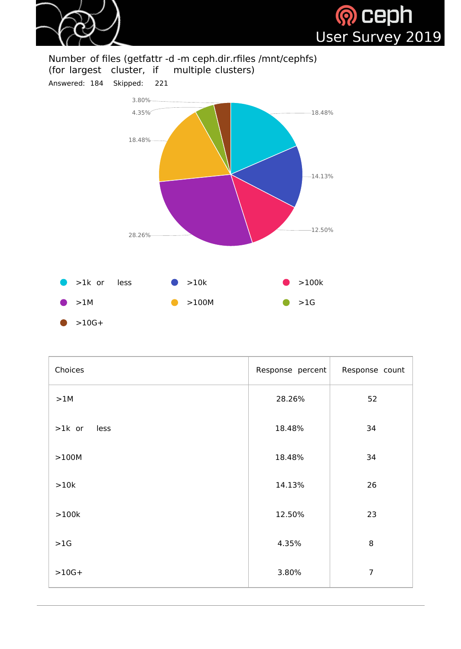



# Number of files (getfattr -d -m ceph.dir.rfiles /mnt/cephfs)<br>(for largest cluster, if multiple clusters) (for largest cluster, if

Answered: 184 Skipped: 221



| Choices          | Response percent | Response count |
|------------------|------------------|----------------|
| >1M              | 28.26%           | 52             |
| $>1k$ or<br>less | 18.48%           | 34             |
| >100M            | 18.48%           | 34             |
| >10k             | 14.13%           | 26             |
| >100k            | 12.50%           | 23             |
| >1G              | 4.35%            | 8              |
| $>10G+$          | 3.80%            | $\overline{7}$ |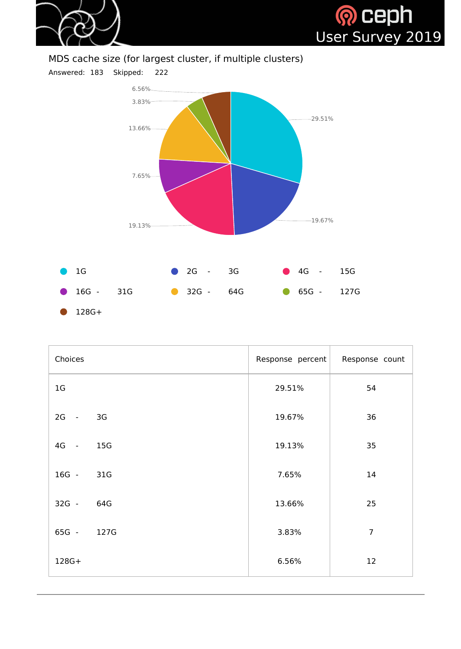



# MDS cache size (for largest cluster, if multiple clusters)



| Choices        |      | Response percent | Response count |
|----------------|------|------------------|----------------|
| 1 <sub>G</sub> |      | 29.51%           | 54             |
| 2G -           | 3G   | 19.67%           | 36             |
| 4G -           | 15G  | 19.13%           | 35             |
| 16G -          | 31G  | 7.65%            | 14             |
| $32G -$        | 64G  | 13.66%           | 25             |
| 65G -          | 127G | 3.83%            | $\overline{7}$ |
| 128G+          |      | 6.56%            | 12             |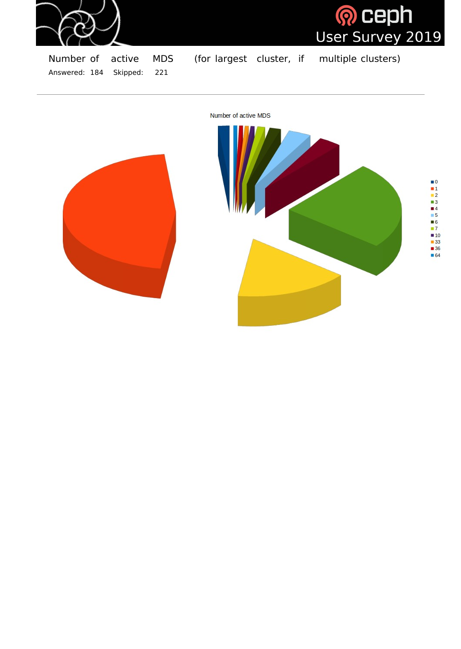

<mark>® Ceph</mark><br>User Survey 2019

Number of active MDS (for largest cluster, if multiple clusters) Answered: 184 Skipped: 221

Number of active MDS



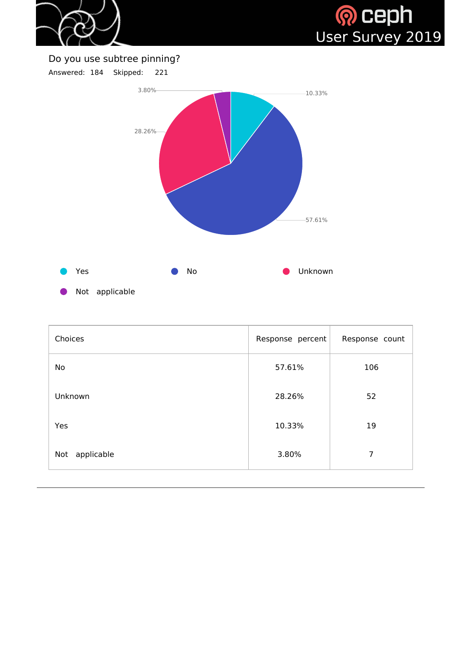



# Do you use subtree pinning?





| Choices           | Response percent | Response count |
|-------------------|------------------|----------------|
| No                | 57.61%           | 106            |
| Unknown           | 28.26%           | 52             |
| Yes               | 10.33%           | 19             |
| applicable<br>Not | 3.80%            | $\overline{7}$ |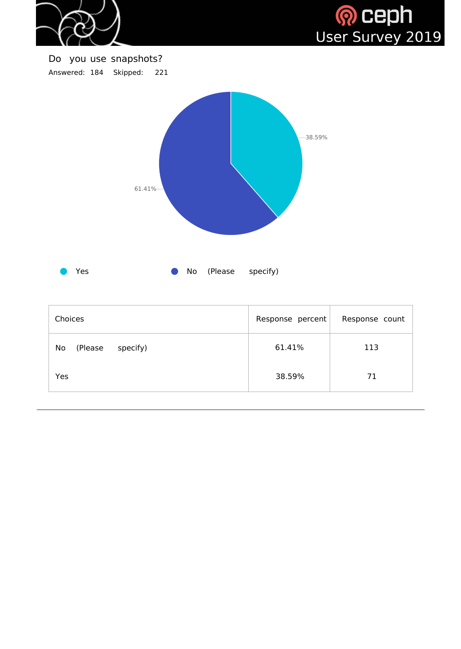



Do you use snapshots? Answered: 184 Skipped: 221



| <b>Choices</b>            | Response percent | Response count |
|---------------------------|------------------|----------------|
| specify)<br>No<br>(Please | 61.41%           | 113            |
| Yes                       | 38.59%           | 71             |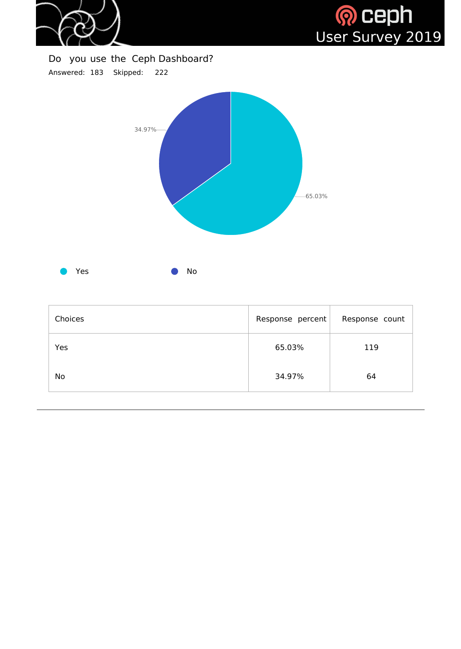

a I



# Do you use the Ceph Dashboard? Answered: 183 Skipped: 222



| Choices | Response percent | Response count |
|---------|------------------|----------------|
| Yes     | 65.03%           | 119            |
| No      | 34.97%           | 64             |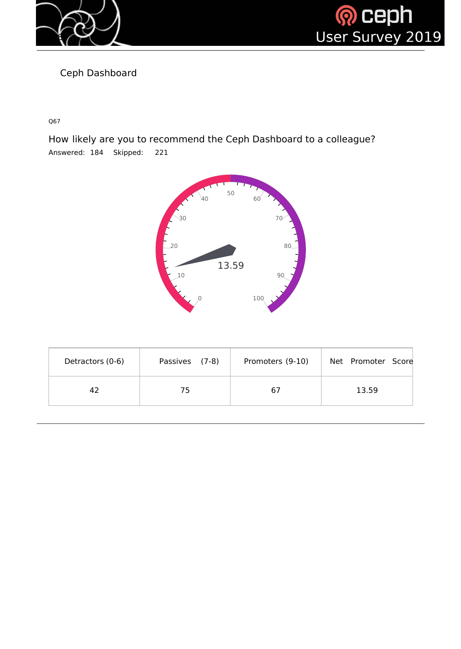



Ceph Dashboard

Q67

How likely are you to recommend the Ceph Dashboard to a colleague? Answered: 184 Skipped: 221



| Detractors (0-6) | Passives (7-8) | Promoters (9-10) | Net Promoter Score |
|------------------|----------------|------------------|--------------------|
| 42               | 75             | 67               | 13.59              |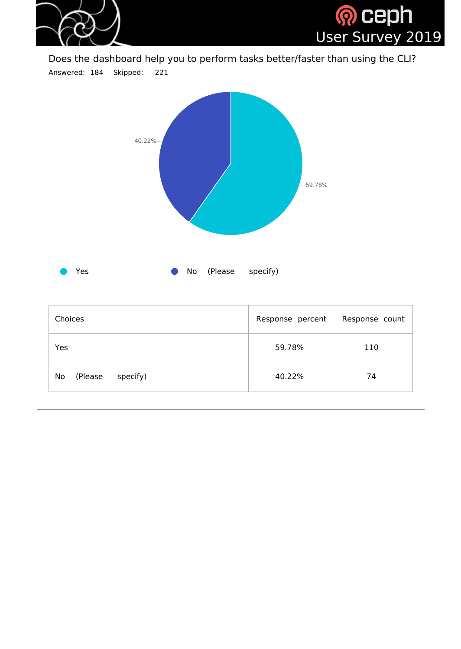

Does the dashboard help you to perform tasks better/faster than using the CLI? Answered: 184 Skipped: 221



| <b>Choices</b>                    | Response percent | Response count |
|-----------------------------------|------------------|----------------|
| Yes                               | 59.78%           | 110            |
| specify)<br>(Please)<br><b>No</b> | 40.22%           | 74             |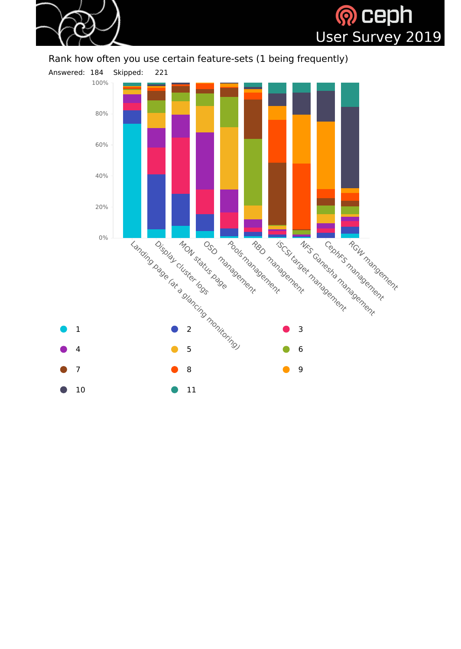

# **Q** ceph User Survey 2019

## Rank how often you use certain feature-sets (1 being frequently)

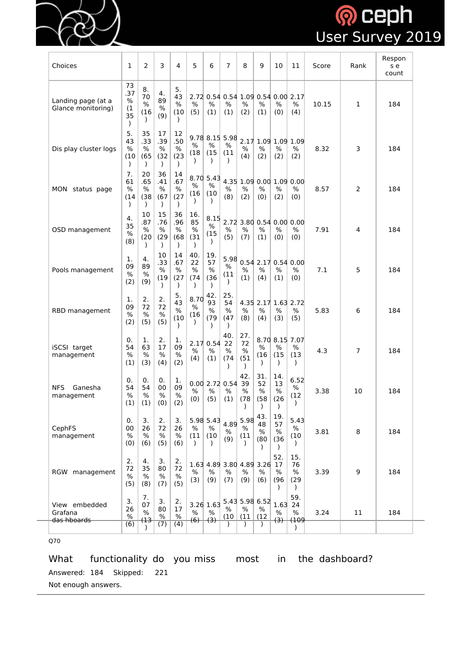

# **Q** Ceph<br>User Survey 2019

| Choices                                  | 1                                    | $\overline{2}$            | 3                                    | 4                                    | 5                         | 6                         | $\overline{7}$                  | 8                                 | 9                         | 10                        | 11                                             | Score | Rank | Respon<br>s e<br>count |
|------------------------------------------|--------------------------------------|---------------------------|--------------------------------------|--------------------------------------|---------------------------|---------------------------|---------------------------------|-----------------------------------|---------------------------|---------------------------|------------------------------------------------|-------|------|------------------------|
| Landing page (at a<br>Glance monitoring) | 73<br>.37<br>$\%$<br>(1)<br>35       | 8.<br>70<br>%<br>(16)     | 4.<br>89<br>$\%$<br>(9)              | 5.<br>43<br>$\%$<br>(10)             | $\%$<br>(5)               | %<br>(1)                  | ℅<br>(1)                        | %<br>(2)                          | $\%$<br>(1)               | $\%$<br>(0)               | 2.72 0.54 0.54 1.09 0.54 0.00 2.17<br>%<br>(4) | 10.15 | 1    | 184                    |
| Dis play cluster logs                    | 5.<br>43<br>$\frac{0}{0}$<br>(10)    | 35<br>.33<br>%<br>(65)    | 17<br>.39<br>$\%$<br>(32)            | 12<br>.50<br>$\%$<br>(23)            | $\%$<br>(18)              | %<br>(15)                 | 9.78 8.15 5.98<br>℅<br>(11)     | %<br>(4)                          | %<br>(2)                  | $\%$<br>(2)               | 2.17 1.09 1.09 1.09<br>%<br>(2)                | 8.32  | 3    | 184                    |
| <b>MON</b><br>status page                | 7.<br>61<br>$\frac{0}{0}$<br>(14)    | 20<br>.65<br>$\%$<br>(38) | 36<br>.41<br>$\%$<br>(67)            | 14<br>.67<br>$\%$<br>(27)            | $\%$<br>(16)              | 8.70 5.43<br>$\%$<br>(10) | %<br>(8)                        | $\%$<br>(2)                       | %<br>(0)                  | %<br>(2)                  | 4.35 1.09 0.00 1.09 0.00<br>%<br>(0)           | 8.57  | 2    | 184                    |
| OSD management                           | 4.<br>35<br>$\%$<br>(8)              | 10<br>.87<br>%<br>(20)    | 15<br>.76<br>%<br>(29)               | 36<br>.96<br>$\%$<br>(68)            | 16.<br>85<br>$\%$<br>(31) | 8.15<br>$\%$<br>(15)      | %<br>(5)                        | %<br>(7)                          | $\%$<br>(1)               | $\%$<br>(0)               | 2.72 3.80 0.54 0.00 0.00<br>%<br>(0)           | 7.91  | 4    | 184                    |
| Pools management                         | 1.<br>09<br>$\%$<br>(2)              | 4.<br>89<br>$\%$<br>(9)   | 10<br>.33<br>$\%$<br>(19)            | 14<br>.67<br>$\%$<br>(27)            | 40.<br>22<br>$\%$<br>(74) | 19.<br>57<br>$\%$<br>(36) | 5.98<br>$\%$<br>(11)            | $\%$<br>(1)                       | $\%$<br>(4)               | $\%$<br>(1)               | $0.54$ 2.17 0.54 0.00<br>%<br>(0)              | 7.1   | 5    | 184                    |
| RBD management                           | 1.<br>09<br>$\%$<br>(2)              | 2.<br>72<br>$\%$<br>(5)   | 2.<br>72<br>$\%$<br>(5)              | 5.<br>43<br>$\%$<br>(10)             | 8.70<br>$\%$<br>(16)      | 42.<br>93<br>$\%$<br>(79) | 25.<br>54<br>$\%$<br>(47)       | $\%$<br>(8)                       | %<br>(4)                  | $\%$<br>(3)               | 4.35 2.17 1.63 2.72<br>$\%$<br>(5)             | 5.83  | 6    | 184                    |
| iSCSI target<br>management               | 0.<br>54<br>$\%$<br>(1)              | 1.<br>63<br>%<br>(3)      | 2.<br>17<br>$\%$<br>(4)              | 1.<br>09<br>$\%$<br>(2)              | $\%$<br>(4)               | 2.17 0.54 22<br>%<br>(1)  | 40.<br>%<br>(74)                | 27.<br>72<br>$\%$<br>(51)         | %<br>(16)                 | $\%$<br>(15)              | 8.70 8.15 7.07<br>%<br>(13)                    | 4.3   | 7    | 184                    |
| <b>NFS</b><br>Ganesha<br>management      | 0.<br>54<br>$\%$<br>(1)              | 0.<br>54<br>$\%$<br>(1)   | 0.<br>00<br>$\%$<br>(0)              | 1.<br>09<br>$\%$<br>(2)              | $\%$<br>(0)               | $\%$<br>(5)               | 0.00 2.72 0.54<br>$\%$<br>(1)   | 42.<br>39<br>$\%$<br>(78)         | 31.<br>52<br>$\%$<br>(58) | 14.<br>13<br>$\%$<br>(26) | 6.52<br>%<br>(12)                              | 3.38  | 10   | 184                    |
| CephFS<br>management                     | 0.<br>00<br>$\%$<br>(0)              | 3.<br>26<br>%<br>(6)      | 2.<br>72<br>$\%$<br>(5)              | 3.<br>26<br>$\%$<br>(6)              | $\%$<br>(11)<br>$\lambda$ | 5.98 5.43<br>$\%$<br>(10) | 4.89<br>$\%$<br>(9)             | 5.98<br>$\%$<br>(11)<br>$\lambda$ | 43.<br>48<br>$\%$<br>(80) | 19.<br>57<br>$\%$<br>(36) | 5.43<br>$\%$<br>(10)                           | 3.81  | 8    | 184                    |
| <b>RGW</b><br>management                 | 2.<br>72<br>$\frac{0}{0}$<br>(5)     | 4.<br>35<br>$\%$<br>(8)   | 3.<br>80<br>$\%$<br>(7)              | 2.<br>72<br>$\%$<br>(5)              | 1.63<br>$\%$<br>(3)       | $\%$<br>(9)               | 4.89 3.80 4.89 3.26<br>%<br>(7) | $\%$<br>(9)                       | $\%$<br>(6)               | 52.<br>17<br>%<br>(96)    | 15.<br>76<br>%<br>(29)                         | 3.39  | 9    | 184                    |
| View embedded<br>Grafana<br>das hboards  | 3.<br>26<br>$\%$<br>$\overline{(6)}$ | 7.<br>07<br>$\%$<br>(13   | 3.<br>80<br>$\%$<br>$\overline{(7)}$ | 2.<br>17<br>$\%$<br>$\overline{(4)}$ | $\%$<br>(6)               | 3.26 1.63<br>%<br>(3)     | ℅<br>(10)                       | 5.43 5.98 6.52<br>%<br>(11)       | $\%$<br>(12)              | 1.63<br>%<br>(3)          | 59.<br>24<br>$\%$<br>(109                      | 3.24  | 11   | 184                    |

Q70

What functionality do you miss most in the dashboard? Answered: 184 Skipped: 221

Not enough answers.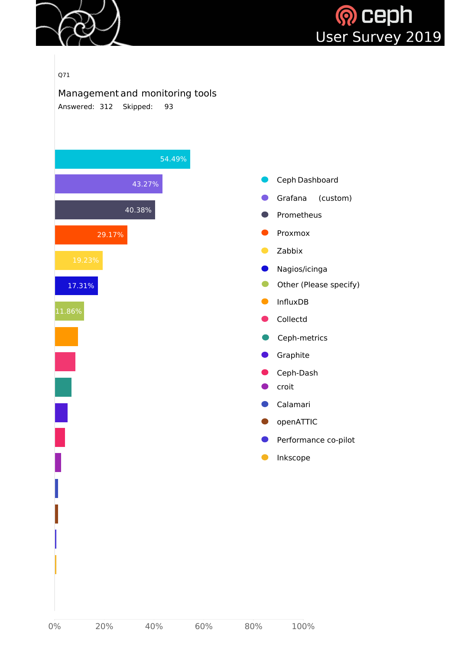



#### Q71

Management and monitoring tools Answered: 312 Skipped: 93

| 54.49%           |                                                       |
|------------------|-------------------------------------------------------|
| 43.27%           | Ceph Dashboard                                        |
| 40.38%           | Grafana<br>(custom)<br>Prometheus                     |
| 29.17%<br>19.23% | Proxmox<br>Zabbix<br>Nagios/icinga                    |
| 17.31%<br>11.86% | Other (Please specify)<br><b>InfluxDB</b><br>Collectd |
|                  | Ceph-metrics<br>Graphite<br>Ceph-Dash                 |
|                  | croit<br>Calamari<br>openATTIC                        |
|                  | Performance co-pilot<br>Inkscope                      |
|                  |                                                       |
|                  |                                                       |
|                  |                                                       |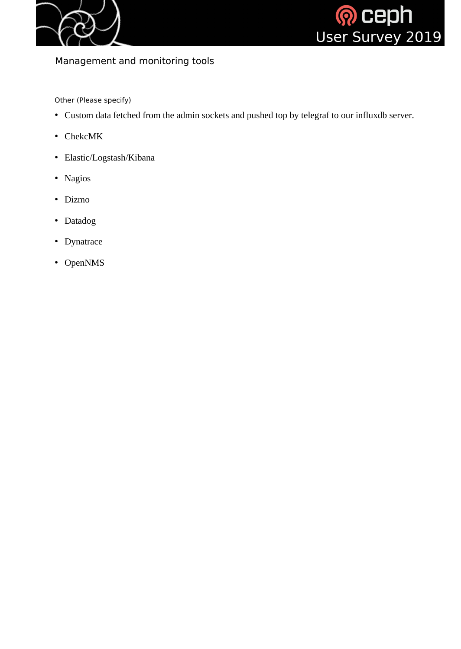



# Management and monitoring tools

Other (Please specify)

- Custom data fetched from the admin sockets and pushed top by telegraf to our influxdb server.
- ChekcMK
- Elastic/Logstash/Kibana
- Nagios
- Dizmo
- Datadog
- Dynatrace
- OpenNMS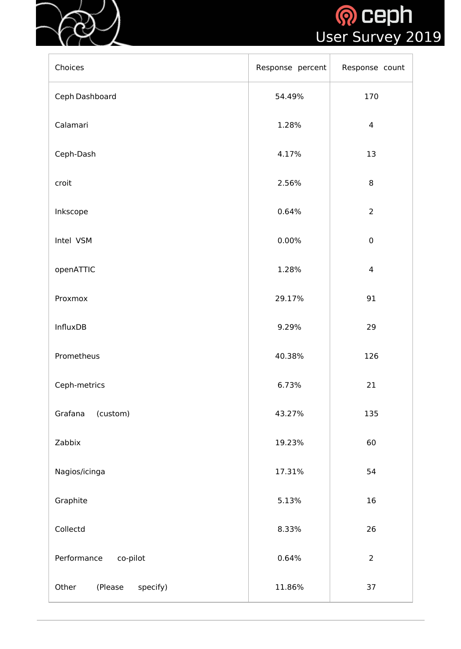



| Choices                      | Response percent | Response count |
|------------------------------|------------------|----------------|
| Ceph Dashboard               | 54.49%           | 170            |
| Calamari                     | 1.28%            | $\overline{4}$ |
| Ceph-Dash                    | 4.17%            | 13             |
| croit                        | 2.56%            | $8\,$          |
| Inkscope                     | 0.64%            | $\overline{2}$ |
| Intel VSM                    | $0.00\%$         | $\pmb{0}$      |
| openATTIC                    | 1.28%            | $\overline{4}$ |
| Proxmox                      | 29.17%           | 91             |
| <b>InfluxDB</b>              | 9.29%            | 29             |
| Prometheus                   | 40.38%           | 126            |
| Ceph-metrics                 | 6.73%            | 21             |
| (custom)<br>Grafana          | 43.27%           | 135            |
| Zabbix                       | 19.23%           | 60             |
| Nagios/icinga                | 17.31%           | 54             |
| Graphite                     | 5.13%            | 16             |
| Collectd                     | 8.33%            | 26             |
| Performance<br>co-pilot      | 0.64%            | $\overline{2}$ |
| Other<br>(Please<br>specify) | 11.86%           | 37             |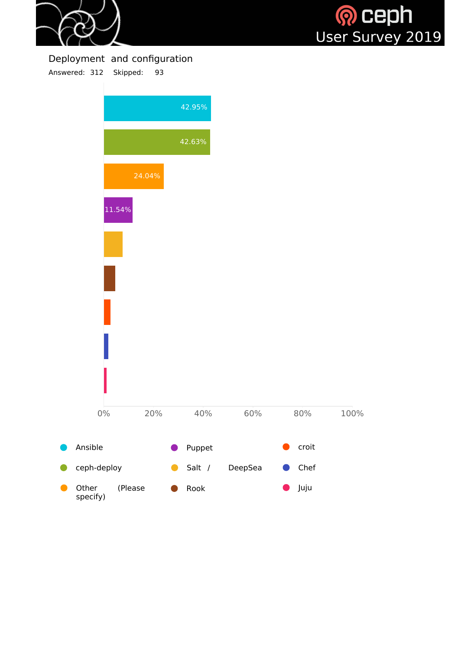



## Deployment and configuration

Answered: 312 Skipped: 93

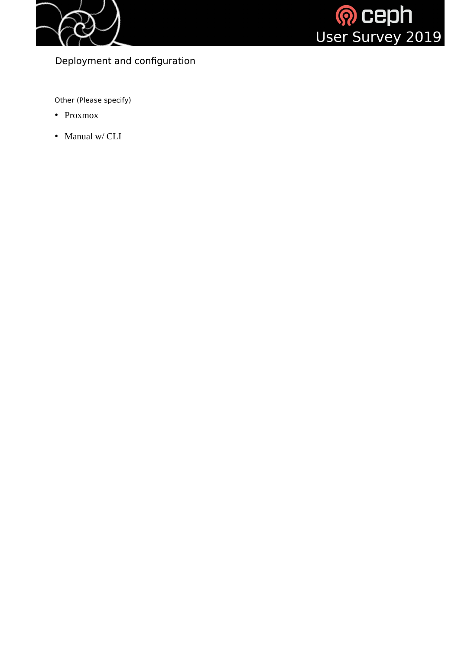



Deployment and configuration

Other (Please specify)

- Proxmox
- Manual w/ CLI